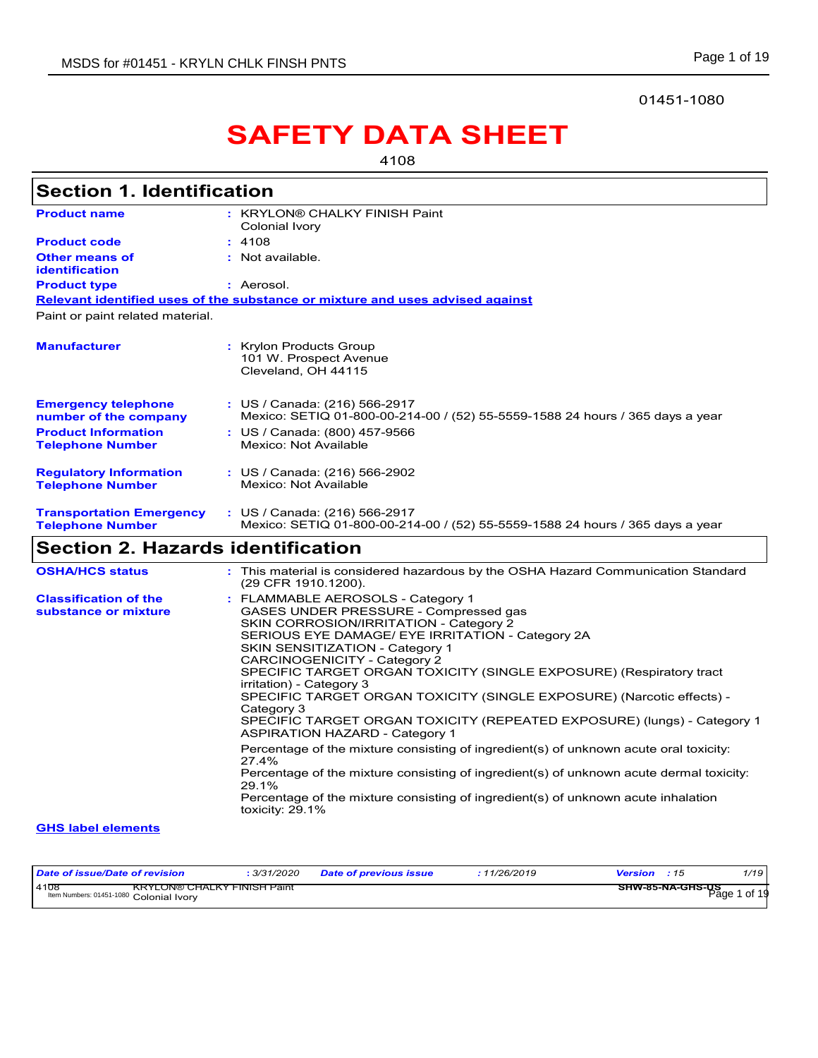### 01451-1080

# **SAFETY DATA SHEET**

4108

| <b>Section 1. Identification</b>                           |                                                                                                                                                                                                                                                                                                                                                                                                                                                                                                                                                                                                                                                                                                                                                                                                                                                             |
|------------------------------------------------------------|-------------------------------------------------------------------------------------------------------------------------------------------------------------------------------------------------------------------------------------------------------------------------------------------------------------------------------------------------------------------------------------------------------------------------------------------------------------------------------------------------------------------------------------------------------------------------------------------------------------------------------------------------------------------------------------------------------------------------------------------------------------------------------------------------------------------------------------------------------------|
| <b>Product name</b>                                        | : KRYLON® CHALKY FINISH Paint<br>Colonial Ivory                                                                                                                                                                                                                                                                                                                                                                                                                                                                                                                                                                                                                                                                                                                                                                                                             |
| <b>Product code</b>                                        | : 4108                                                                                                                                                                                                                                                                                                                                                                                                                                                                                                                                                                                                                                                                                                                                                                                                                                                      |
| <b>Other means of</b><br><b>identification</b>             | : Not available.                                                                                                                                                                                                                                                                                                                                                                                                                                                                                                                                                                                                                                                                                                                                                                                                                                            |
| <b>Product type</b>                                        | : Aerosol.                                                                                                                                                                                                                                                                                                                                                                                                                                                                                                                                                                                                                                                                                                                                                                                                                                                  |
|                                                            | Relevant identified uses of the substance or mixture and uses advised against                                                                                                                                                                                                                                                                                                                                                                                                                                                                                                                                                                                                                                                                                                                                                                               |
| Paint or paint related material.                           |                                                                                                                                                                                                                                                                                                                                                                                                                                                                                                                                                                                                                                                                                                                                                                                                                                                             |
| <b>Manufacturer</b>                                        | : Krylon Products Group<br>101 W. Prospect Avenue<br>Cleveland, OH 44115                                                                                                                                                                                                                                                                                                                                                                                                                                                                                                                                                                                                                                                                                                                                                                                    |
| <b>Emergency telephone</b><br>number of the company        | : US / Canada: (216) 566-2917<br>Mexico: SETIQ 01-800-00-214-00 / (52) 55-5559-1588 24 hours / 365 days a year                                                                                                                                                                                                                                                                                                                                                                                                                                                                                                                                                                                                                                                                                                                                              |
| <b>Product Information</b><br><b>Telephone Number</b>      | : US / Canada: (800) 457-9566<br>Mexico: Not Available                                                                                                                                                                                                                                                                                                                                                                                                                                                                                                                                                                                                                                                                                                                                                                                                      |
| <b>Regulatory Information</b><br><b>Telephone Number</b>   | : US / Canada: (216) 566-2902<br>Mexico: Not Available                                                                                                                                                                                                                                                                                                                                                                                                                                                                                                                                                                                                                                                                                                                                                                                                      |
| <b>Transportation Emergency</b><br><b>Telephone Number</b> | : US / Canada: (216) 566-2917<br>Mexico: SETIQ 01-800-00-214-00 / (52) 55-5559-1588 24 hours / 365 days a year                                                                                                                                                                                                                                                                                                                                                                                                                                                                                                                                                                                                                                                                                                                                              |
| <b>Section 2. Hazards identification</b>                   |                                                                                                                                                                                                                                                                                                                                                                                                                                                                                                                                                                                                                                                                                                                                                                                                                                                             |
| <b>OSHA/HCS status</b>                                     | : This material is considered hazardous by the OSHA Hazard Communication Standard<br>(29 CFR 1910.1200).                                                                                                                                                                                                                                                                                                                                                                                                                                                                                                                                                                                                                                                                                                                                                    |
| <b>Classification of the</b><br>substance or mixture       | : FLAMMABLE AEROSOLS - Category 1<br>GASES UNDER PRESSURE - Compressed gas<br>SKIN CORROSION/IRRITATION - Category 2<br>SERIOUS EYE DAMAGE/ EYE IRRITATION - Category 2A<br>SKIN SENSITIZATION - Category 1<br><b>CARCINOGENICITY - Category 2</b><br>SPECIFIC TARGET ORGAN TOXICITY (SINGLE EXPOSURE) (Respiratory tract<br>irritation) - Category 3<br>SPECIFIC TARGET ORGAN TOXICITY (SINGLE EXPOSURE) (Narcotic effects) -<br>Category 3<br>SPECIFIC TARGET ORGAN TOXICITY (REPEATED EXPOSURE) (lungs) - Category 1<br><b>ASPIRATION HAZARD - Category 1</b><br>Percentage of the mixture consisting of ingredient(s) of unknown acute oral toxicity:<br>27.4%<br>Percentage of the mixture consisting of ingredient(s) of unknown acute dermal toxicity:<br>29.1%<br>Percentage of the mixture consisting of ingredient(s) of unknown acute inhalation |
|                                                            | toxicity: $29.1\%$                                                                                                                                                                                                                                                                                                                                                                                                                                                                                                                                                                                                                                                                                                                                                                                                                                          |
| <b>GHS label elements</b>                                  |                                                                                                                                                                                                                                                                                                                                                                                                                                                                                                                                                                                                                                                                                                                                                                                                                                                             |

| Date of issue/Date of revision                                                 | 3/31/2020              | 11/26/2019 | 1/19                                     |
|--------------------------------------------------------------------------------|------------------------|------------|------------------------------------------|
|                                                                                | Date of previous issue | Version    | : 15                                     |
| 4108<br>KRYLON® CHALKY FINISH Paint<br>Item Numbers: 01451-1080 Colonial Ivory |                        |            | <b>SHW-85-NA-GHS-US</b><br>of 19<br>Page |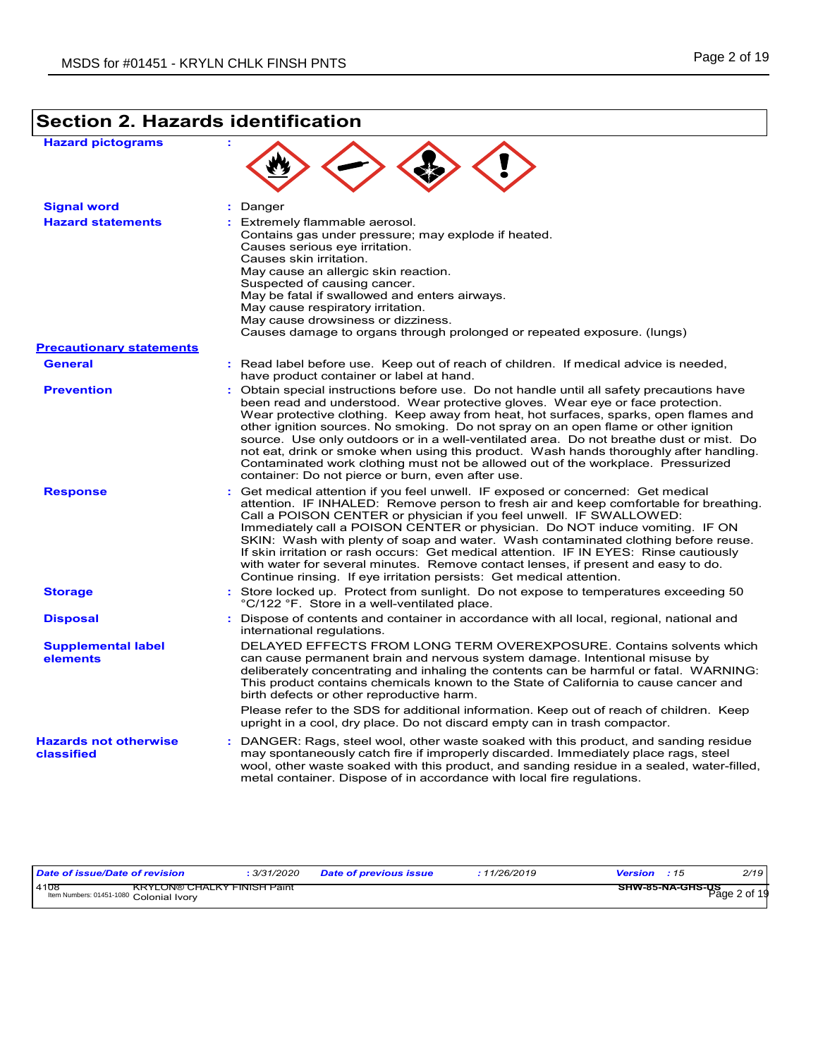## **Section 2. Hazards identification**

| <b>Hazard pictograms</b>                   |                                                                                                                                                                                                                                                                                                                                                                                                                                                                                                                                                                                                                                                                                          |
|--------------------------------------------|------------------------------------------------------------------------------------------------------------------------------------------------------------------------------------------------------------------------------------------------------------------------------------------------------------------------------------------------------------------------------------------------------------------------------------------------------------------------------------------------------------------------------------------------------------------------------------------------------------------------------------------------------------------------------------------|
| <b>Signal word</b>                         | : Danger                                                                                                                                                                                                                                                                                                                                                                                                                                                                                                                                                                                                                                                                                 |
| <b>Hazard statements</b>                   | : Extremely flammable aerosol.<br>Contains gas under pressure; may explode if heated.<br>Causes serious eye irritation.<br>Causes skin irritation.<br>May cause an allergic skin reaction.<br>Suspected of causing cancer.<br>May be fatal if swallowed and enters airways.<br>May cause respiratory irritation.<br>May cause drowsiness or dizziness.<br>Causes damage to organs through prolonged or repeated exposure. (lungs)                                                                                                                                                                                                                                                        |
| <b>Precautionary statements</b>            |                                                                                                                                                                                                                                                                                                                                                                                                                                                                                                                                                                                                                                                                                          |
| <b>General</b>                             | : Read label before use. Keep out of reach of children. If medical advice is needed,<br>have product container or label at hand.                                                                                                                                                                                                                                                                                                                                                                                                                                                                                                                                                         |
| <b>Prevention</b>                          | : Obtain special instructions before use. Do not handle until all safety precautions have<br>been read and understood. Wear protective gloves. Wear eye or face protection.<br>Wear protective clothing. Keep away from heat, hot surfaces, sparks, open flames and<br>other ignition sources. No smoking. Do not spray on an open flame or other ignition<br>source. Use only outdoors or in a well-ventilated area. Do not breathe dust or mist. Do<br>not eat, drink or smoke when using this product. Wash hands thoroughly after handling.<br>Contaminated work clothing must not be allowed out of the workplace. Pressurized<br>container: Do not pierce or burn, even after use. |
| <b>Response</b>                            | : Get medical attention if you feel unwell. IF exposed or concerned: Get medical<br>attention. IF INHALED: Remove person to fresh air and keep comfortable for breathing.<br>Call a POISON CENTER or physician if you feel unwell. IF SWALLOWED:<br>Immediately call a POISON CENTER or physician. Do NOT induce vomiting. IF ON<br>SKIN: Wash with plenty of soap and water. Wash contaminated clothing before reuse.<br>If skin irritation or rash occurs: Get medical attention. IF IN EYES: Rinse cautiously<br>with water for several minutes. Remove contact lenses, if present and easy to do.<br>Continue rinsing. If eye irritation persists: Get medical attention.            |
| <b>Storage</b>                             | : Store locked up. Protect from sunlight. Do not expose to temperatures exceeding 50<br>°C/122 °F. Store in a well-ventilated place.                                                                                                                                                                                                                                                                                                                                                                                                                                                                                                                                                     |
| <b>Disposal</b>                            | : Dispose of contents and container in accordance with all local, regional, national and<br>international regulations.                                                                                                                                                                                                                                                                                                                                                                                                                                                                                                                                                                   |
| <b>Supplemental label</b><br>elements      | DELAYED EFFECTS FROM LONG TERM OVEREXPOSURE. Contains solvents which<br>can cause permanent brain and nervous system damage. Intentional misuse by<br>deliberately concentrating and inhaling the contents can be harmful or fatal. WARNING:<br>This product contains chemicals known to the State of California to cause cancer and<br>birth defects or other reproductive harm.<br>Please refer to the SDS for additional information. Keep out of reach of children. Keep                                                                                                                                                                                                             |
|                                            | upright in a cool, dry place. Do not discard empty can in trash compactor.                                                                                                                                                                                                                                                                                                                                                                                                                                                                                                                                                                                                               |
| <b>Hazards not otherwise</b><br>classified | : DANGER: Rags, steel wool, other waste soaked with this product, and sanding residue<br>may spontaneously catch fire if improperly discarded. Immediately place rags, steel<br>wool, other waste soaked with this product, and sanding residue in a sealed, water-filled,<br>metal container. Dispose of in accordance with local fire regulations.                                                                                                                                                                                                                                                                                                                                     |

| Date of issue/Date of revision             | 3/31/2020 | <b>Date of previous issue</b> | 1/26/2019 | Version<br>.11   | 2/19         |
|--------------------------------------------|-----------|-------------------------------|-----------|------------------|--------------|
| 4108<br><b>KRYLON® CHALKY FINISH Paint</b> |           |                               |           | SHW-85-NA-GHS-US |              |
| Item Numbers: 01451-1080 Colonial Ivory    |           |                               |           |                  | Page 2 of 19 |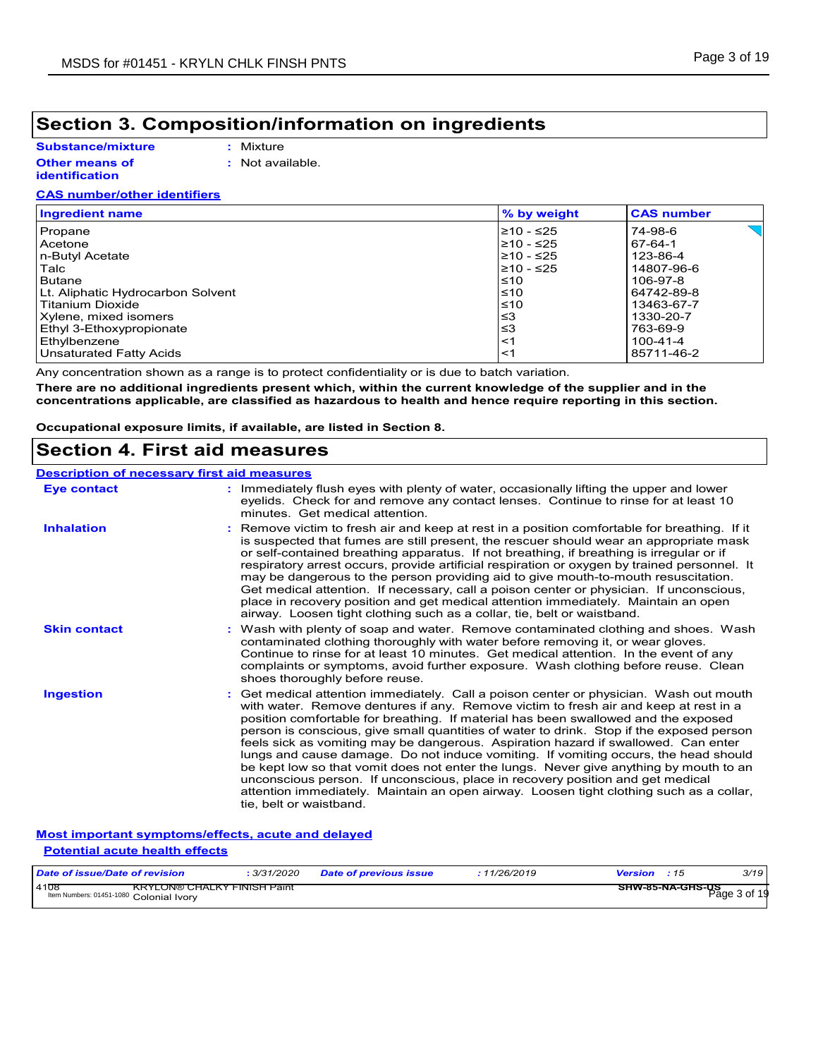## **Section 3. Composition/information on ingredients**

### **Substance/mixture**

**:** Mixture

#### **Other means of identification**

**:** Not available.

### **CAS number/other identifiers**

| <b>Ingredient name</b>            | % by weight | <b>CAS number</b> |
|-----------------------------------|-------------|-------------------|
| Propane                           | l≥10 - ≤25  | 74-98-6           |
| Acetone                           | $≥10 - ≤25$ | 67-64-1           |
| n-Butyl Acetate                   | l≥10 - ≤25  | 123-86-4          |
| Talc                              | l≥10 - ≤25  | 14807-96-6        |
| <b>Butane</b>                     | $\leq 10$   | 106-97-8          |
| Lt. Aliphatic Hydrocarbon Solvent | $\leq 10$   | 64742-89-8        |
| Titanium Dioxide                  | ≤10         | 13463-67-7        |
| Xylene, mixed isomers             | ≤3          | 1330-20-7         |
| Ethyl 3-Ethoxypropionate          | ≤3          | 763-69-9          |
| Ethylbenzene                      | $<$ 1       | $100 - 41 - 4$    |
| Unsaturated Fatty Acids           | $<$ 1       | 85711-46-2        |

Any concentration shown as a range is to protect confidentiality or is due to batch variation.

**There are no additional ingredients present which, within the current knowledge of the supplier and in the concentrations applicable, are classified as hazardous to health and hence require reporting in this section.**

**Occupational exposure limits, if available, are listed in Section 8.**

### **Section 4. First aid measures**

### **Description of necessary first aid measures**

| <b>Eye contact</b>  | : Immediately flush eyes with plenty of water, occasionally lifting the upper and lower<br>eyelids. Check for and remove any contact lenses. Continue to rinse for at least 10<br>minutes. Get medical attention.                                                                                                                                                                                                                                                                                                                                                                                                                                                                                                                                                                                                                               |
|---------------------|-------------------------------------------------------------------------------------------------------------------------------------------------------------------------------------------------------------------------------------------------------------------------------------------------------------------------------------------------------------------------------------------------------------------------------------------------------------------------------------------------------------------------------------------------------------------------------------------------------------------------------------------------------------------------------------------------------------------------------------------------------------------------------------------------------------------------------------------------|
| <b>Inhalation</b>   | : Remove victim to fresh air and keep at rest in a position comfortable for breathing. If it<br>is suspected that fumes are still present, the rescuer should wear an appropriate mask<br>or self-contained breathing apparatus. If not breathing, if breathing is irregular or if<br>respiratory arrest occurs, provide artificial respiration or oxygen by trained personnel. It<br>may be dangerous to the person providing aid to give mouth-to-mouth resuscitation.<br>Get medical attention. If necessary, call a poison center or physician. If unconscious,<br>place in recovery position and get medical attention immediately. Maintain an open<br>airway. Loosen tight clothing such as a collar, tie, belt or waistband.                                                                                                            |
| <b>Skin contact</b> | : Wash with plenty of soap and water. Remove contaminated clothing and shoes. Wash<br>contaminated clothing thoroughly with water before removing it, or wear gloves.<br>Continue to rinse for at least 10 minutes. Get medical attention. In the event of any<br>complaints or symptoms, avoid further exposure. Wash clothing before reuse. Clean<br>shoes thoroughly before reuse.                                                                                                                                                                                                                                                                                                                                                                                                                                                           |
| <b>Ingestion</b>    | : Get medical attention immediately. Call a poison center or physician. Wash out mouth<br>with water. Remove dentures if any. Remove victim to fresh air and keep at rest in a<br>position comfortable for breathing. If material has been swallowed and the exposed<br>person is conscious, give small quantities of water to drink. Stop if the exposed person<br>feels sick as vomiting may be dangerous. Aspiration hazard if swallowed. Can enter<br>lungs and cause damage. Do not induce vomiting. If vomiting occurs, the head should<br>be kept low so that vomit does not enter the lungs. Never give anything by mouth to an<br>unconscious person. If unconscious, place in recovery position and get medical<br>attention immediately. Maintain an open airway. Loosen tight clothing such as a collar,<br>tie, belt or waistband. |

### **Most important symptoms/effects, acute and delayed Potential acute health effects**

| Date of issue/Date of revision                                                        | 3/31/2020 | <b>Date of previous issue</b> | : 11/26/2019 | <b>Version</b> : 15              | 3/19 |
|---------------------------------------------------------------------------------------|-----------|-------------------------------|--------------|----------------------------------|------|
| 4108<br><b>KRYLON® CHALKY FINISH Paint</b><br>Item Numbers: 01451-1080 Colonial Ivory |           |                               |              | SHW-85-NA-GHS-US<br>Page 3 of 19 |      |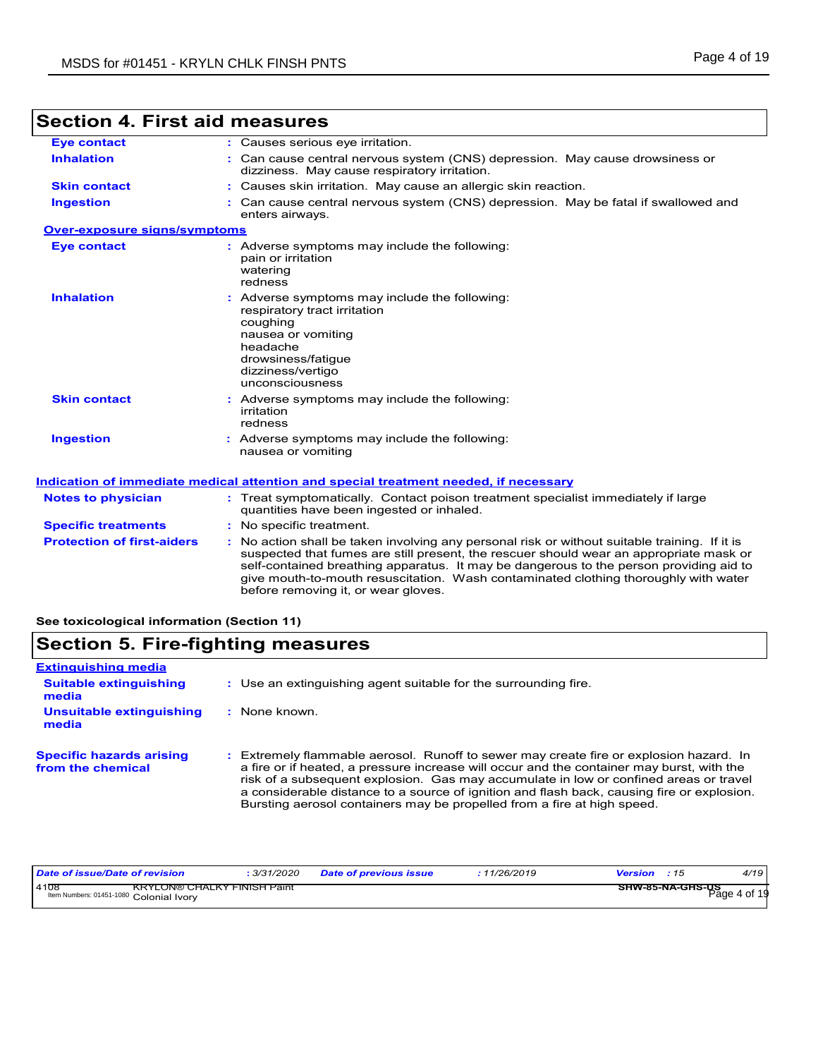| <b>Eye contact</b>                  | : Causes serious eye irritation.                                                                                                                                                                                                                                                                                                                                                                                |
|-------------------------------------|-----------------------------------------------------------------------------------------------------------------------------------------------------------------------------------------------------------------------------------------------------------------------------------------------------------------------------------------------------------------------------------------------------------------|
| <b>Inhalation</b>                   | : Can cause central nervous system (CNS) depression. May cause drowsiness or<br>dizziness. May cause respiratory irritation.                                                                                                                                                                                                                                                                                    |
| <b>Skin contact</b>                 | : Causes skin irritation. May cause an allergic skin reaction.                                                                                                                                                                                                                                                                                                                                                  |
| <b>Ingestion</b>                    | Can cause central nervous system (CNS) depression. May be fatal if swallowed and<br>enters airways.                                                                                                                                                                                                                                                                                                             |
| <b>Over-exposure signs/symptoms</b> |                                                                                                                                                                                                                                                                                                                                                                                                                 |
| <b>Eye contact</b>                  | : Adverse symptoms may include the following:<br>pain or irritation<br>watering<br>redness                                                                                                                                                                                                                                                                                                                      |
| <b>Inhalation</b>                   | Adverse symptoms may include the following:<br>respiratory tract irritation<br>coughing<br>nausea or vomiting<br>headache<br>drowsiness/fatigue<br>dizziness/vertigo<br>unconsciousness                                                                                                                                                                                                                         |
| <b>Skin contact</b>                 | : Adverse symptoms may include the following:<br>irritation<br>redness                                                                                                                                                                                                                                                                                                                                          |
| <b>Ingestion</b>                    | : Adverse symptoms may include the following:<br>nausea or vomiting                                                                                                                                                                                                                                                                                                                                             |
|                                     | Indication of immediate medical attention and special treatment needed, if necessary                                                                                                                                                                                                                                                                                                                            |
| <b>Notes to physician</b>           | : Treat symptomatically. Contact poison treatment specialist immediately if large<br>quantities have been ingested or inhaled.                                                                                                                                                                                                                                                                                  |
| <b>Specific treatments</b>          | : No specific treatment.                                                                                                                                                                                                                                                                                                                                                                                        |
| <b>Protection of first-aiders</b>   | : No action shall be taken involving any personal risk or without suitable training. If it is<br>suspected that fumes are still present, the rescuer should wear an appropriate mask or<br>self-contained breathing apparatus. It may be dangerous to the person providing aid to<br>give mouth-to-mouth resuscitation. Wash contaminated clothing thoroughly with water<br>before removing it, or wear gloves. |

## **Section 4. First aid measures**

**See toxicological information (Section 11)**

## **Section 5. Fire-fighting measures**

| <b>Extinguishing media</b>                           |                                                                                                                                                                                                                                                                                                                                                                                                                                                       |
|------------------------------------------------------|-------------------------------------------------------------------------------------------------------------------------------------------------------------------------------------------------------------------------------------------------------------------------------------------------------------------------------------------------------------------------------------------------------------------------------------------------------|
| <b>Suitable extinguishing</b><br>media               | : Use an extinguishing agent suitable for the surrounding fire.                                                                                                                                                                                                                                                                                                                                                                                       |
| Unsuitable extinguishing<br>media                    | : None known.                                                                                                                                                                                                                                                                                                                                                                                                                                         |
| <b>Specific hazards arising</b><br>from the chemical | : Extremely flammable aerosol. Runoff to sewer may create fire or explosion hazard. In<br>a fire or if heated, a pressure increase will occur and the container may burst, with the<br>risk of a subsequent explosion. Gas may accumulate in low or confined areas or travel<br>a considerable distance to a source of ignition and flash back, causing fire or explosion.<br>Bursting aerosol containers may be propelled from a fire at high speed. |

| Date of issue/Date of revision                                                        | : 3/31/2020 | <b>Date of previous issue</b> | 11/26/2019 | <b>Version</b> : 15 | 4/19         |
|---------------------------------------------------------------------------------------|-------------|-------------------------------|------------|---------------------|--------------|
| 4108<br><b>KRYLON® CHALKY FINISH Paint</b><br>Item Numbers: 01451-1080 Colonial Ivory |             |                               |            | SHW-85-NA-GHS-US    | Page 4 of 19 |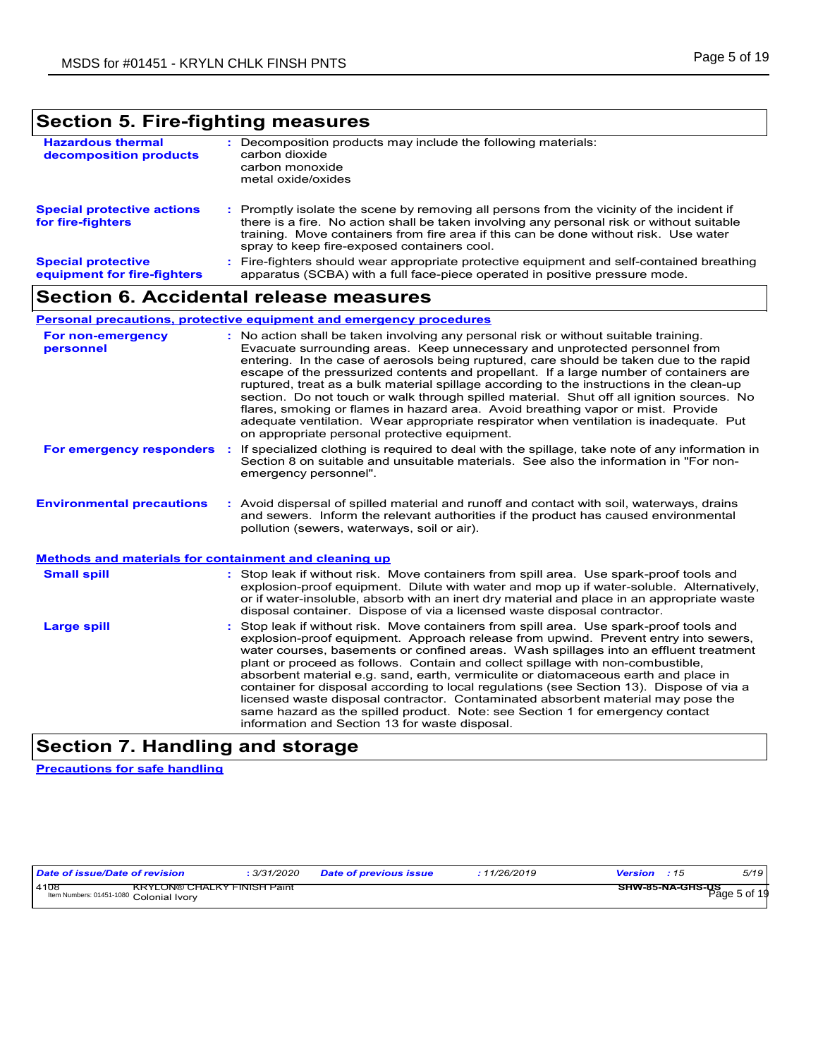## **Section 5. Fire-fighting measures**

| <b>Hazardous thermal</b><br>decomposition products       | Decomposition products may include the following materials:<br>carbon dioxide<br>carbon monoxide<br>metal oxide/oxides                                                                                                                                                                                                      |
|----------------------------------------------------------|-----------------------------------------------------------------------------------------------------------------------------------------------------------------------------------------------------------------------------------------------------------------------------------------------------------------------------|
| <b>Special protective actions</b><br>for fire-fighters   | Promptly isolate the scene by removing all persons from the vicinity of the incident if<br>there is a fire. No action shall be taken involving any personal risk or without suitable<br>training. Move containers from fire area if this can be done without risk. Use water<br>spray to keep fire-exposed containers cool. |
| <b>Special protective</b><br>equipment for fire-fighters | Fire-fighters should wear appropriate protective equipment and self-contained breathing<br>apparatus (SCBA) with a full face-piece operated in positive pressure mode.                                                                                                                                                      |

### **Section 6. Accidental release measures**

### **Personal precautions, protective equipment and emergency procedures**

| For non-emergency<br>personnel                               |     | : No action shall be taken involving any personal risk or without suitable training.<br>Evacuate surrounding areas. Keep unnecessary and unprotected personnel from<br>entering. In the case of aerosols being ruptured, care should be taken due to the rapid<br>escape of the pressurized contents and propellant. If a large number of containers are<br>ruptured, treat as a bulk material spillage according to the instructions in the clean-up<br>section. Do not touch or walk through spilled material. Shut off all ignition sources. No<br>flares, smoking or flames in hazard area. Avoid breathing vapor or mist. Provide<br>adequate ventilation. Wear appropriate respirator when ventilation is inadequate. Put<br>on appropriate personal protective equipment. |  |  |  |
|--------------------------------------------------------------|-----|----------------------------------------------------------------------------------------------------------------------------------------------------------------------------------------------------------------------------------------------------------------------------------------------------------------------------------------------------------------------------------------------------------------------------------------------------------------------------------------------------------------------------------------------------------------------------------------------------------------------------------------------------------------------------------------------------------------------------------------------------------------------------------|--|--|--|
| For emergency responders                                     | -11 | If specialized clothing is required to deal with the spillage, take note of any information in<br>Section 8 on suitable and unsuitable materials. See also the information in "For non-<br>emergency personnel".                                                                                                                                                                                                                                                                                                                                                                                                                                                                                                                                                                 |  |  |  |
| <b>Environmental precautions</b>                             |     | : Avoid dispersal of spilled material and runoff and contact with soil, waterways, drains<br>and sewers. Inform the relevant authorities if the product has caused environmental<br>pollution (sewers, waterways, soil or air).                                                                                                                                                                                                                                                                                                                                                                                                                                                                                                                                                  |  |  |  |
| <b>Methods and materials for containment and cleaning up</b> |     |                                                                                                                                                                                                                                                                                                                                                                                                                                                                                                                                                                                                                                                                                                                                                                                  |  |  |  |
| <b>Small spill</b>                                           |     | : Stop leak if without risk. Move containers from spill area. Use spark-proof tools and<br>explosion-proof equipment. Dilute with water and mop up if water-soluble. Alternatively,<br>or if water-insoluble, absorb with an inert dry material and place in an appropriate waste<br>disposal container. Dispose of via a licensed waste disposal contractor.                                                                                                                                                                                                                                                                                                                                                                                                                    |  |  |  |
| <b>Large spill</b>                                           |     | Stop leak if without risk. Move containers from spill area. Use spark-proof tools and<br>explosion-proof equipment. Approach release from upwind. Prevent entry into sewers,<br>water courses, basements or confined areas. Wash spillages into an effluent treatment<br>plant or proceed as follows. Contain and collect spillage with non-combustible,<br>absorbent material e.g. sand, earth, vermiculite or diatomaceous earth and place in<br>container for disposal according to local regulations (see Section 13). Dispose of via a<br>licensed waste disposal contractor. Contaminated absorbent material may pose the                                                                                                                                                  |  |  |  |

## **Section 7. Handling and storage**

**Precautions for safe handling**

| Date of issue/Date of revision                                                        | 3/31/2020 | <b>Date of previous issue</b> | 11/26/2019 | Version<br>: 15  | 5/19         |
|---------------------------------------------------------------------------------------|-----------|-------------------------------|------------|------------------|--------------|
| 4108<br><b>KRYLON® CHALKY FINISH Paint</b><br>Item Numbers: 01451-1080 Colonial Ivory |           |                               |            | SHW-85-NA-GHS-US | Page 5 of 19 |

information and Section 13 for waste disposal.

same hazard as the spilled product. Note: see Section 1 for emergency contact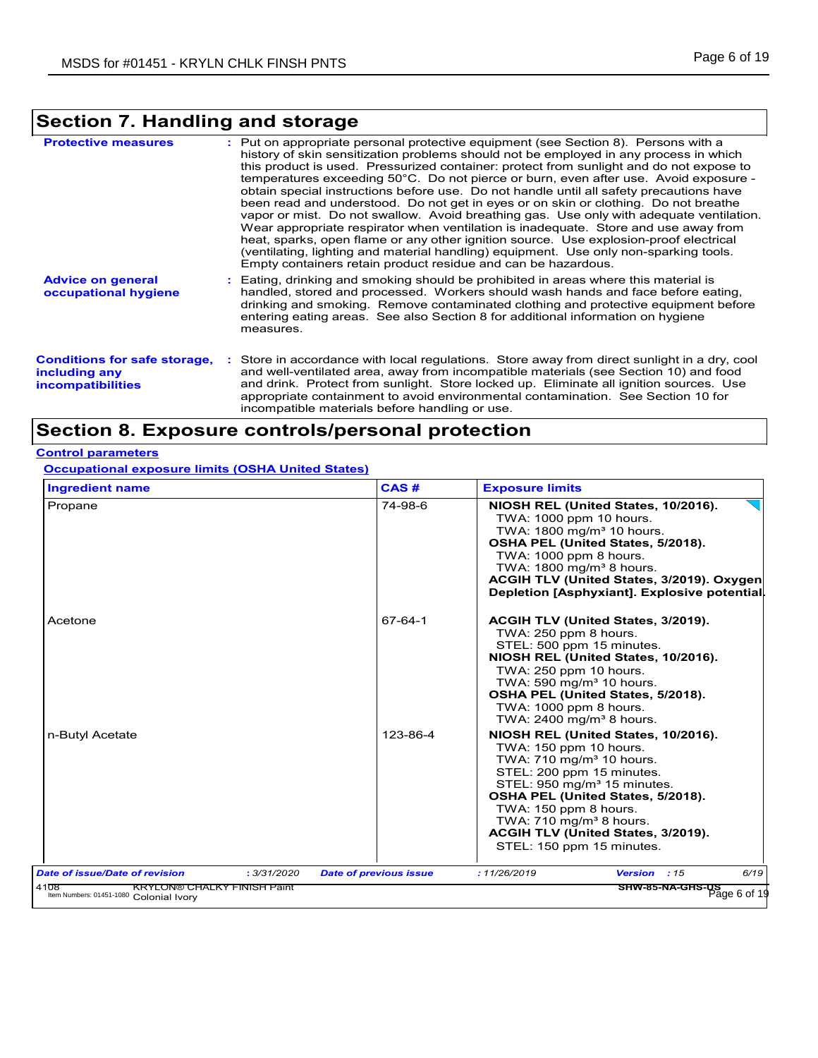## **Section 7. Handling and storage**

| <b>Protective measures</b>                                                       | : Put on appropriate personal protective equipment (see Section 8). Persons with a<br>history of skin sensitization problems should not be employed in any process in which<br>this product is used. Pressurized container: protect from sunlight and do not expose to<br>temperatures exceeding 50°C. Do not pierce or burn, even after use. Avoid exposure -<br>obtain special instructions before use. Do not handle until all safety precautions have<br>been read and understood. Do not get in eyes or on skin or clothing. Do not breathe<br>vapor or mist. Do not swallow. Avoid breathing gas. Use only with adequate ventilation.<br>Wear appropriate respirator when ventilation is inadequate. Store and use away from<br>heat, sparks, open flame or any other ignition source. Use explosion-proof electrical |
|----------------------------------------------------------------------------------|-----------------------------------------------------------------------------------------------------------------------------------------------------------------------------------------------------------------------------------------------------------------------------------------------------------------------------------------------------------------------------------------------------------------------------------------------------------------------------------------------------------------------------------------------------------------------------------------------------------------------------------------------------------------------------------------------------------------------------------------------------------------------------------------------------------------------------|
|                                                                                  | (ventilating, lighting and material handling) equipment. Use only non-sparking tools.<br>Empty containers retain product residue and can be hazardous.                                                                                                                                                                                                                                                                                                                                                                                                                                                                                                                                                                                                                                                                      |
| <b>Advice on general</b><br>occupational hygiene                                 | : Eating, drinking and smoking should be prohibited in areas where this material is<br>handled, stored and processed. Workers should wash hands and face before eating.<br>drinking and smoking. Remove contaminated clothing and protective equipment before<br>entering eating areas. See also Section 8 for additional information on hygiene<br>measures.                                                                                                                                                                                                                                                                                                                                                                                                                                                               |
| <b>Conditions for safe storage,</b><br>including any<br><b>incompatibilities</b> | : Store in accordance with local regulations. Store away from direct sunlight in a dry, cool<br>and well-ventilated area, away from incompatible materials (see Section 10) and food<br>and drink. Protect from sunlight. Store locked up. Eliminate all ignition sources. Use<br>appropriate containment to avoid environmental contamination. See Section 10 for<br>incompatible materials before handling or use.                                                                                                                                                                                                                                                                                                                                                                                                        |

## **Section 8. Exposure controls/personal protection**

### **Control parameters**

**Occupational exposure limits (OSHA United States)**

| <b>Ingredient name</b>                |             | CAS#                          | <b>Exposure limits</b>                                                                                                                                                                                                                                                                                                                               |
|---------------------------------------|-------------|-------------------------------|------------------------------------------------------------------------------------------------------------------------------------------------------------------------------------------------------------------------------------------------------------------------------------------------------------------------------------------------------|
| Propane                               |             | 74-98-6                       | NIOSH REL (United States, 10/2016).<br>TWA: 1000 ppm 10 hours.<br>TWA: 1800 mg/m <sup>3</sup> 10 hours.<br>OSHA PEL (United States, 5/2018).<br>TWA: 1000 ppm 8 hours.<br>TWA: 1800 mg/m <sup>3</sup> 8 hours.<br>ACGIH TLV (United States, 3/2019). Oxygen<br>Depletion [Asphyxiant]. Explosive potential.                                          |
| Acetone                               |             | 67-64-1                       | ACGIH TLV (United States, 3/2019).<br>TWA: 250 ppm 8 hours.<br>STEL: 500 ppm 15 minutes.<br>NIOSH REL (United States, 10/2016).<br>TWA: 250 ppm 10 hours.<br>TWA: 590 mg/m <sup>3</sup> 10 hours.<br>OSHA PEL (United States, 5/2018).<br>TWA: 1000 ppm 8 hours<br>TWA: 2400 mg/m <sup>3</sup> 8 hours.                                              |
| n-Butyl Acetate                       |             | 123-86-4                      | NIOSH REL (United States, 10/2016).<br>TWA: 150 ppm 10 hours.<br>TWA: 710 mg/m <sup>3</sup> 10 hours.<br>STEL: 200 ppm 15 minutes.<br>STEL: $950 \text{ mg/m}^3$ 15 minutes.<br>OSHA PEL (United States, 5/2018).<br>TWA: 150 ppm 8 hours.<br>TWA: 710 mg/m <sup>3</sup> 8 hours.<br>ACGIH TLV (United States, 3/2019).<br>STEL: 150 ppm 15 minutes. |
| <b>Date of issue/Date of revision</b> | : 3/31/2020 | <b>Date of previous issue</b> | 6/19<br>: 11/26/2019<br>Version : 15                                                                                                                                                                                                                                                                                                                 |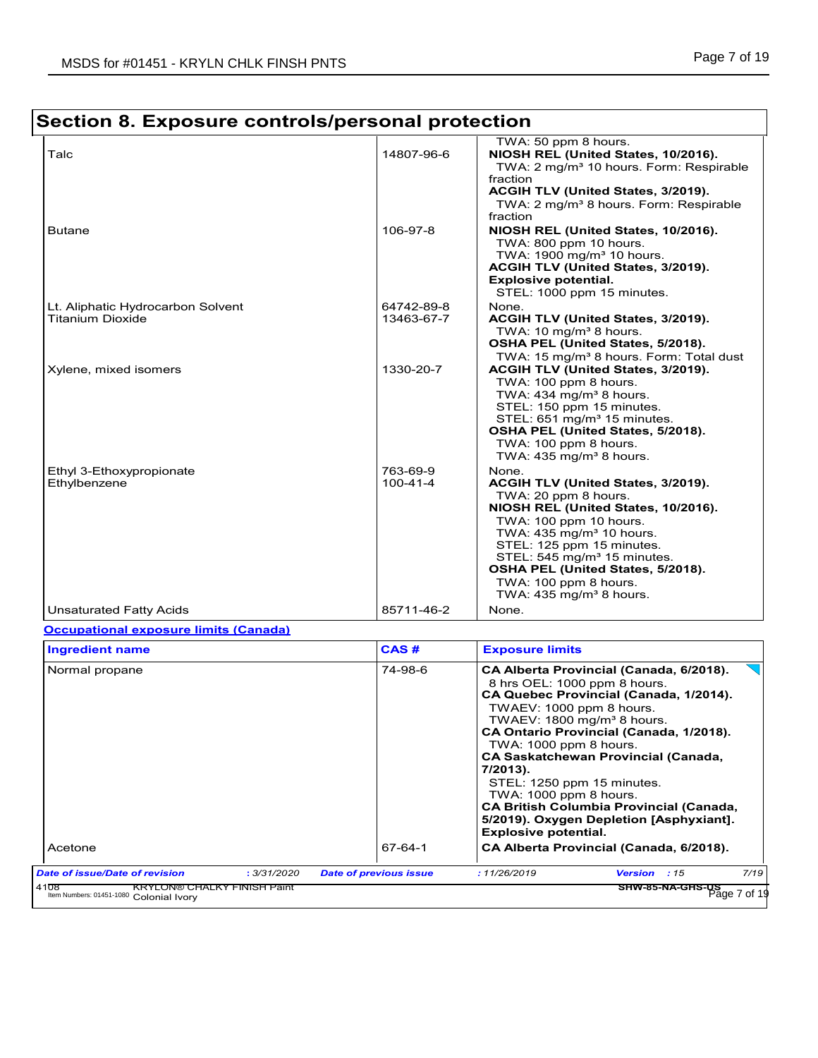#### **Section 8. Exposure controls/personal protection** TWA: 50 ppm 8 hours. Talc 14807-96-6 **NIOSH REL (United States, 10/2016).** TWA: 2 mg/m<sup>3</sup> 10 hours. Form: Respirable fraction **ACGIH TLV (United States, 3/2019).** TWA: 2 mg/m<sup>3</sup> 8 hours. Form: Respirable fraction Butane 10ft 106-97-8 **NIOSH REL (United States, 10/2016).** Notational Manual Museum of the Number of Number 106-97-8 Number 100-97-8 Number 100-97-8 Number 100-97-8 Number 100-97-8 Number 100-97-8 Number 100-97-8 Number 10 TWA: 800 ppm 10 hours. TWA: 1900 mg/m<sup>3</sup> 10 hours. **ACGIH TLV (United States, 3/2019). Explosive potential.**  STEL: 1000 ppm 15 minutes. Lt. Aliphatic Hydrocarbon Solvent  $\begin{array}{|l|l|}\n\hline\n\text{13463-67-7} & \text{None.} \\
\hline\n\end{array}$ ACGIH TLV (United States, 3/2019). TWA: 10 mg/m<sup>3</sup> 8 hours. **OSHA PEL (United States, 5/2018).** TWA: 15 mg/m<sup>3</sup> 8 hours. Form: Total dust Xylene, mixed isomers 1330-20-7 **ACGIH TLV (United States, 3/2019).** TWA: 100 ppm 8 hours. TWA:  $434$  mg/m<sup>3</sup> 8 hours. STEL: 150 ppm 15 minutes. STEL: 651 mg/m<sup>3</sup> 15 minutes. **OSHA PEL (United States, 5/2018).** TWA: 100 ppm 8 hours. TWA:  $435$  mg/m<sup>3</sup> 8 hours. Ethyl 3-Ethoxypropionate 763-69-9 None.<br>Ethylbenzene 100-41-4 ACGI ACGIH TLV (United States, 3/2019). TWA: 20 ppm 8 hours. **NIOSH REL (United States, 10/2016).** TWA: 100 ppm 10 hours. TWA:  $435$  mg/m $3$  10 hours. STEL: 125 ppm 15 minutes. STEL: 545 mg/m<sup>3</sup> 15 minutes. **OSHA PEL (United States, 5/2018).** TWA: 100 ppm 8 hours. TWA:  $435$  mg/m<sup>3</sup> 8 hours. Unsaturated Fatty Acids **85711-46-2** None.

### **Occupational exposure limits (Canada)**

| <b>Ingredient name</b>         |             | CAS#                          | <b>Exposure limits</b>                                                                                                                                                                                                                                                                                                                                                                                                                                                                                       |                                                     |      |
|--------------------------------|-------------|-------------------------------|--------------------------------------------------------------------------------------------------------------------------------------------------------------------------------------------------------------------------------------------------------------------------------------------------------------------------------------------------------------------------------------------------------------------------------------------------------------------------------------------------------------|-----------------------------------------------------|------|
| Normal propane                 |             | 74-98-6                       | CA Alberta Provincial (Canada, 6/2018).<br>8 hrs OEL: 1000 ppm 8 hours.<br>CA Quebec Provincial (Canada, 1/2014).<br>TWAEV: 1000 ppm 8 hours.<br>TWAEV: 1800 mg/m <sup>3</sup> 8 hours.<br>CA Ontario Provincial (Canada, 1/2018).<br>TWA: $1000$ ppm 8 hours.<br><b>CA Saskatchewan Provincial (Canada,</b><br>7/2013).<br>STEL: 1250 ppm 15 minutes.<br>TWA: 1000 ppm 8 hours.<br><b>CA British Columbia Provincial (Canada,</b><br>5/2019). Oxygen Depletion [Asphyxiant].<br><b>Explosive potential.</b> |                                                     |      |
| Acetone                        |             | 67-64-1                       |                                                                                                                                                                                                                                                                                                                                                                                                                                                                                                              | CA Alberta Provincial (Canada, 6/2018).             |      |
| Date of issue/Date of revision | : 3/31/2020 | <b>Date of previous issue</b> | : 11/26/2019                                                                                                                                                                                                                                                                                                                                                                                                                                                                                                 | Version<br>: 15<br>SHW-85-NA-GHS-US<br>Page 7 of 19 | 7/19 |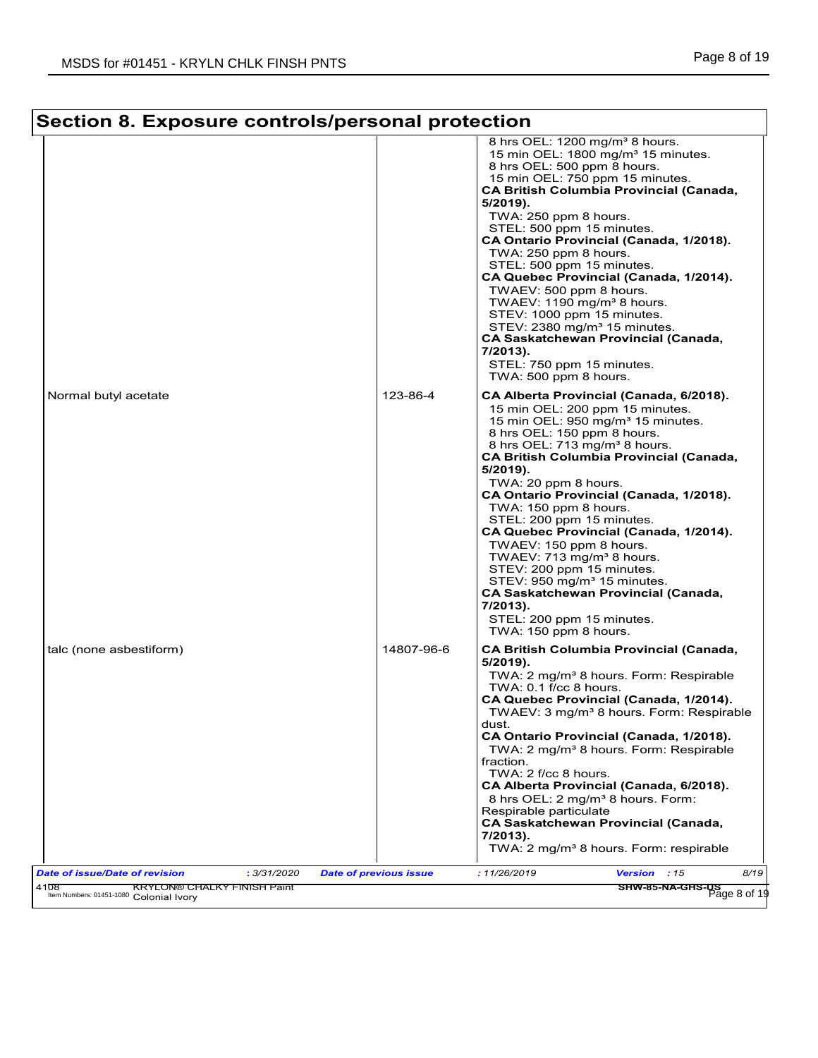٦

| Section 8. Exposure controls/personal protection     |                               |                                                                                                                                                                                                                                                                                                                                                                                                                                                                                                                                                                                                                                                                                                            |
|------------------------------------------------------|-------------------------------|------------------------------------------------------------------------------------------------------------------------------------------------------------------------------------------------------------------------------------------------------------------------------------------------------------------------------------------------------------------------------------------------------------------------------------------------------------------------------------------------------------------------------------------------------------------------------------------------------------------------------------------------------------------------------------------------------------|
|                                                      |                               | 8 hrs OEL: 1200 mg/m <sup>3</sup> 8 hours.<br>15 min OEL: 1800 mg/m <sup>3</sup> 15 minutes.<br>8 hrs OEL: 500 ppm 8 hours.<br>15 min OEL: 750 ppm 15 minutes.<br><b>CA British Columbia Provincial (Canada,</b><br>5/2019).<br>TWA: 250 ppm 8 hours.<br>STEL: 500 ppm 15 minutes.<br>CA Ontario Provincial (Canada, 1/2018).<br>TWA: 250 ppm 8 hours.<br>STEL: 500 ppm 15 minutes.<br>CA Quebec Provincial (Canada, 1/2014).<br>TWAEV: 500 ppm 8 hours.<br>TWAEV: 1190 mg/m <sup>3</sup> 8 hours.<br>STEV: 1000 ppm 15 minutes.<br>STEV: 2380 mg/m <sup>3</sup> 15 minutes.<br><b>CA Saskatchewan Provincial (Canada,</b><br>$7/2013$ ).<br>STEL: 750 ppm 15 minutes.<br>TWA: 500 ppm 8 hours.            |
| Normal butyl acetate                                 | 123-86-4                      | CA Alberta Provincial (Canada, 6/2018).<br>15 min OEL: 200 ppm 15 minutes.<br>15 min OEL: 950 mg/m <sup>3</sup> 15 minutes.<br>8 hrs OEL: 150 ppm 8 hours.<br>8 hrs OEL: 713 mg/m <sup>3</sup> 8 hours.<br><b>CA British Columbia Provincial (Canada,</b><br>$5/2019$ ).<br>TWA: 20 ppm 8 hours.<br>CA Ontario Provincial (Canada, 1/2018).<br>TWA: 150 ppm 8 hours.<br>STEL: 200 ppm 15 minutes.<br>CA Quebec Provincial (Canada, 1/2014).<br>TWAEV: 150 ppm 8 hours.<br>TWAEV: 713 mg/m <sup>3</sup> 8 hours.<br>STEV: 200 ppm 15 minutes.<br>STEV: 950 mg/m <sup>3</sup> 15 minutes.<br><b>CA Saskatchewan Provincial (Canada,</b><br>$7/2013$ ).<br>STEL: 200 ppm 15 minutes.<br>TWA: 150 ppm 8 hours. |
| talc (none asbestiform)                              | 14807-96-6                    | <b>CA British Columbia Provincial (Canada,</b><br>$5/2019$ ).<br>TWA: 2 mg/m <sup>3</sup> 8 hours. Form: Respirable<br>$TWA: 0.1$ f/cc 8 hours.<br>CA Quebec Provincial (Canada, 1/2014).<br>TWAEV: 3 mg/m <sup>3</sup> 8 hours. Form: Respirable<br>dust.<br>CA Ontario Provincial (Canada, 1/2018).<br>TWA: 2 mg/m <sup>3</sup> 8 hours. Form: Respirable<br>fraction.<br>TWA: 2 f/cc 8 hours.<br>CA Alberta Provincial (Canada, 6/2018).<br>8 hrs OEL: 2 mg/m <sup>3</sup> 8 hours. Form:<br>Respirable particulate<br><b>CA Saskatchewan Provincial (Canada,</b><br>7/2013).<br>TWA: 2 mg/m <sup>3</sup> 8 hours. Form: respirable                                                                     |
| <b>Date of issue/Date of revision</b><br>: 3/31/2020 | <b>Date of previous issue</b> | 8/19<br>:11/26/2019<br>Version : 15                                                                                                                                                                                                                                                                                                                                                                                                                                                                                                                                                                                                                                                                        |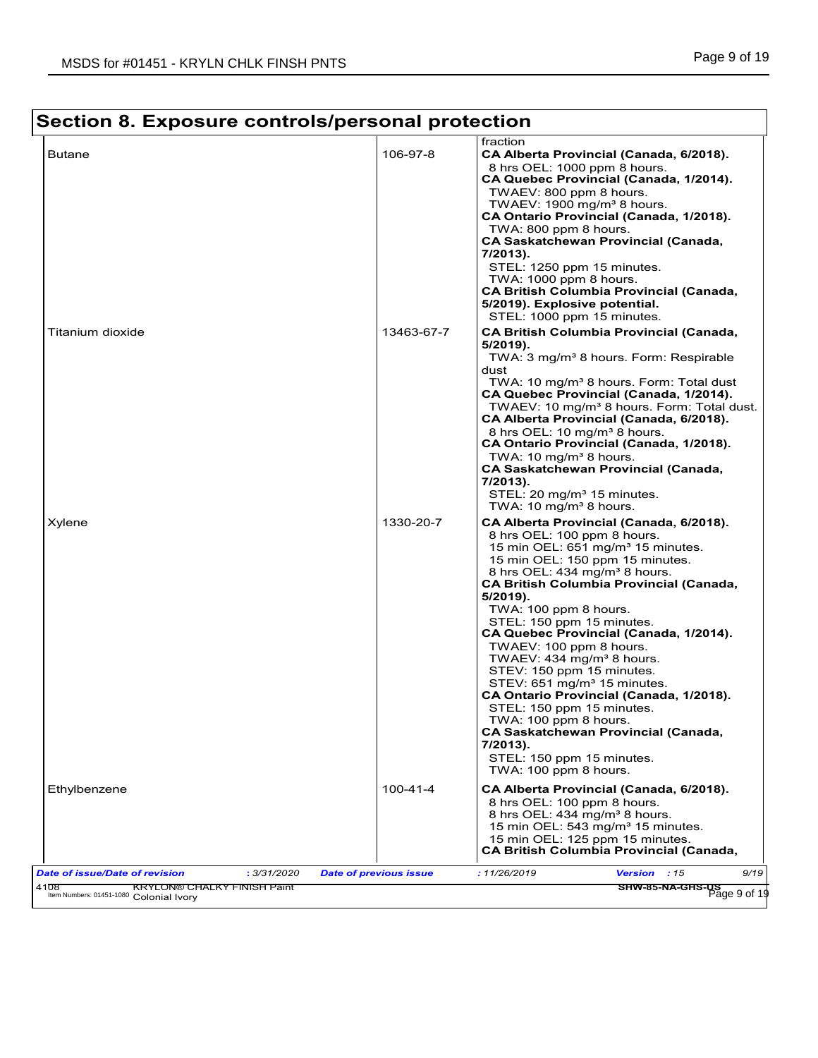#### **Section 8. Exposure controls/personal protection** fraction Butane 106-97-8 **CA Alberta Provincial (Canada, 6/2018).** Canada, 6/2018). 8 hrs OEL: 1000 ppm 8 hours. **CA Quebec Provincial (Canada, 1/2014).** TWAEV: 800 ppm 8 hours. TWAEV:  $1900$  mg/m<sup>3</sup> 8 hours. **CA Ontario Provincial (Canada, 1/2018).** TWA: 800 ppm 8 hours. **CA Saskatchewan Provincial (Canada, 7/2013).** STEL: 1250 ppm 15 minutes. TWA: 1000 ppm 8 hours. **CA British Columbia Provincial (Canada, 5/2019). Explosive potential.**  STEL: 1000 ppm 15 minutes. Titanium dioxide 13463-67-7 **CA British Columbia Provincial (Canada, 5/2019).** TWA: 3 mg/m<sup>3</sup> 8 hours. Form: Respirable dust TWA: 10 mg/m<sup>3</sup> 8 hours. Form: Total dust **CA Quebec Provincial (Canada, 1/2014).** TWAEV: 10 mg/m<sup>3</sup> 8 hours. Form: Total dust. **CA Alberta Provincial (Canada, 6/2018).** 8 hrs OEL: 10 mg/m<sup>3</sup> 8 hours. **CA Ontario Provincial (Canada, 1/2018).** TWA: 10 mg/m $3$  8 hours. **CA Saskatchewan Provincial (Canada, 7/2013).** STEL: 20 mg/m<sup>3</sup> 15 minutes. TWA: 10 mg/ $m<sup>3</sup>$  8 hours. Xylene 1330-20-7 **CA Alberta Provincial (Canada, 6/2018).** 8 hrs OEL: 100 ppm 8 hours. 15 min OEL: 651 mg/m<sup>3</sup> 15 minutes. 15 min OEL: 150 ppm 15 minutes. 8 hrs OEL: 434 mg/m<sup>3</sup> 8 hours. **CA British Columbia Provincial (Canada, 5/2019).** TWA: 100 ppm 8 hours. STEL: 150 ppm 15 minutes. **CA Quebec Provincial (Canada, 1/2014).** TWAEV: 100 ppm 8 hours. TWAEV:  $434 \text{ mg/m}^3$  8 hours. STEV: 150 ppm 15 minutes. STEV: 651 mg/m<sup>3</sup> 15 minutes. **CA Ontario Provincial (Canada, 1/2018).** STEL: 150 ppm 15 minutes. TWA: 100 ppm 8 hours. **CA Saskatchewan Provincial (Canada, 7/2013).** STEL: 150 ppm 15 minutes. TWA: 100 ppm 8 hours. Ethylbenzene 100-41-4 **CA Alberta Provincial (Canada, 6/2018).** 8 hrs OEL: 100 ppm 8 hours. 8 hrs OEL:  $434 \text{ mg/m}^3$  8 hours. 15 min OEL:  $543$  mg/m $3$  15 minutes. 15 min OEL: 125 ppm 15 minutes. **CA British Columbia Provincial (Canada,** *Date of issue/Date of revision* **:** *3/31/2020 Date of previous issue : 11/26/2019 Version : 15 9/19* 4108 KRYLON® CHALKY FINISH Paint Colonial Ivory المسيح المسيح المسيح المسيح المسيح المسيح المسيح المسيح المسيح المسيح المسيح المسيح المسيح المسيح المسيح المسيح<br>الاستخدام المسيح المسيح المسيح المسيح المسيح المسيح المسيح المسيح المسيح المسيح المسيح المسيح المسيح المسيح ا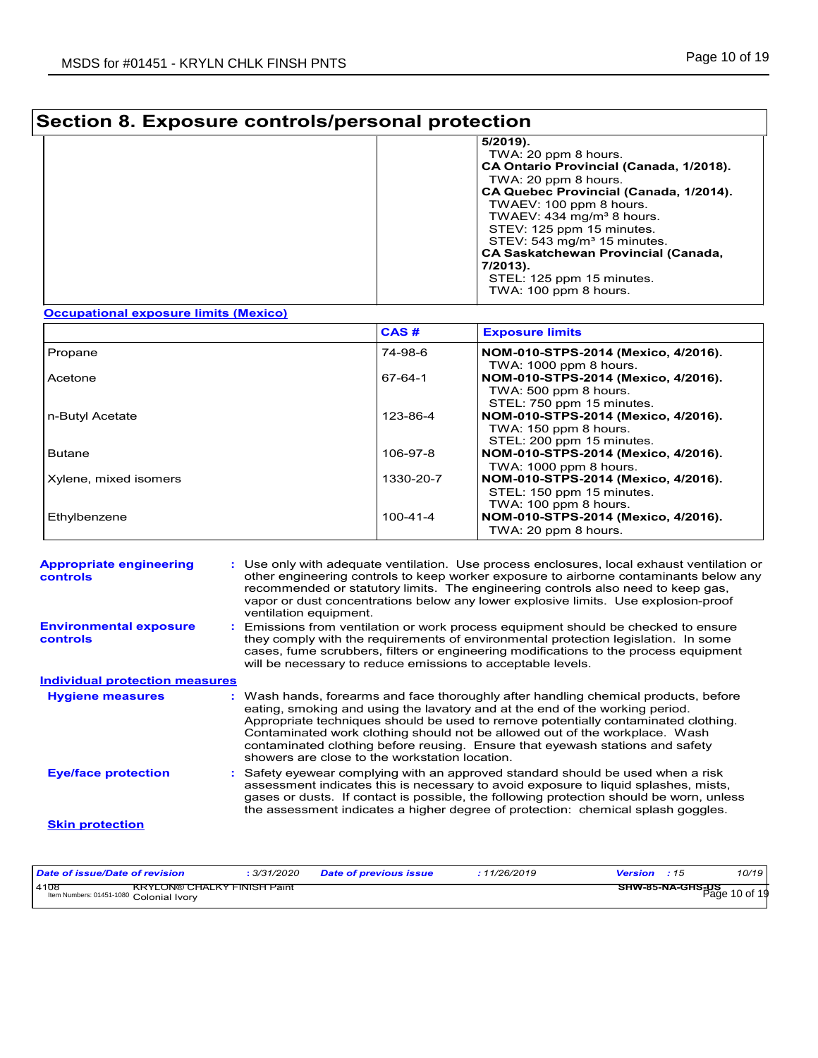# **Section 8. Exposure controls/personal protection**

| $5/2019$ ).                                |
|--------------------------------------------|
| TWA: 20 ppm 8 hours.                       |
| CA Ontario Provincial (Canada, 1/2018).    |
| TWA: 20 ppm 8 hours.                       |
| CA Quebec Provincial (Canada, 1/2014).     |
| TWAEV: 100 ppm 8 hours.                    |
| TWAEV: $434 \text{ mg/m}^3$ 8 hours.       |
| STEV: 125 ppm 15 minutes.                  |
| STEV: 543 mg/m <sup>3</sup> 15 minutes.    |
| <b>CA Saskatchewan Provincial (Canada,</b> |
| 7/2013).                                   |
| STEL: 125 ppm 15 minutes.                  |
| TWA: 100 ppm 8 hours.                      |
|                                            |

### **Occupational exposure limits (Mexico)**

|                       | CAS#      | <b>Exposure limits</b>                                                                    |
|-----------------------|-----------|-------------------------------------------------------------------------------------------|
| Propane               | 74-98-6   | NOM-010-STPS-2014 (Mexico, 4/2016).<br>TWA: 1000 ppm 8 hours.                             |
| Acetone               | 67-64-1   | NOM-010-STPS-2014 (Mexico, 4/2016).<br>TWA: 500 ppm 8 hours.<br>STEL: 750 ppm 15 minutes. |
| n-Butyl Acetate       | 123-86-4  | NOM-010-STPS-2014 (Mexico, 4/2016).<br>TWA: 150 ppm 8 hours.<br>STEL: 200 ppm 15 minutes. |
| <b>Butane</b>         | 106-97-8  | NOM-010-STPS-2014 (Mexico, 4/2016).<br>TWA: 1000 ppm 8 hours.                             |
| Xylene, mixed isomers | 1330-20-7 | NOM-010-STPS-2014 (Mexico, 4/2016).<br>STEL: 150 ppm 15 minutes.<br>TWA: 100 ppm 8 hours. |
| Ethylbenzene          | 100-41-4  | NOM-010-STPS-2014 (Mexico, 4/2016).<br>TWA: 20 ppm 8 hours.                               |

| <b>Appropriate engineering</b><br>controls       | : Use only with adequate ventilation. Use process enclosures, local exhaust ventilation or<br>other engineering controls to keep worker exposure to airborne contaminants below any<br>recommended or statutory limits. The engineering controls also need to keep gas,<br>vapor or dust concentrations below any lower explosive limits. Use explosion-proof<br>ventilation equipment.                                                                                     |
|--------------------------------------------------|-----------------------------------------------------------------------------------------------------------------------------------------------------------------------------------------------------------------------------------------------------------------------------------------------------------------------------------------------------------------------------------------------------------------------------------------------------------------------------|
| <b>Environmental exposure</b><br><b>controls</b> | Emissions from ventilation or work process equipment should be checked to ensure<br>they comply with the requirements of environmental protection legislation. In some<br>cases, fume scrubbers, filters or engineering modifications to the process equipment<br>will be necessary to reduce emissions to acceptable levels.                                                                                                                                               |
| <b>Individual protection measures</b>            |                                                                                                                                                                                                                                                                                                                                                                                                                                                                             |
| <b>Hygiene measures</b>                          | : Wash hands, forearms and face thoroughly after handling chemical products, before<br>eating, smoking and using the lavatory and at the end of the working period.<br>Appropriate techniques should be used to remove potentially contaminated clothing.<br>Contaminated work clothing should not be allowed out of the workplace. Wash<br>contaminated clothing before reusing. Ensure that eyewash stations and safety<br>showers are close to the workstation location. |
| <b>Eye/face protection</b>                       | Safety eyewear complying with an approved standard should be used when a risk<br>assessment indicates this is necessary to avoid exposure to liquid splashes, mists,<br>gases or dusts. If contact is possible, the following protection should be worn, unless<br>the assessment indicates a higher degree of protection: chemical splash goggles.                                                                                                                         |
| <b>Skin protection</b>                           |                                                                                                                                                                                                                                                                                                                                                                                                                                                                             |

| Date of issue/Date of revision                  |                             | <sup>3</sup> /31/2020 | Date of previous issue | : 11/26/2019 | <b>Version</b> : 15 |                                          | 10/19 |
|-------------------------------------------------|-----------------------------|-----------------------|------------------------|--------------|---------------------|------------------------------------------|-------|
| 4108<br>Item Numbers: 01451-1080 Colonial Ivory | KRYLON® CHALKY FINISH Paint |                       |                        |              |                     | <b>SHW-85-NA-GHS-US</b><br>Page 10 of 19 |       |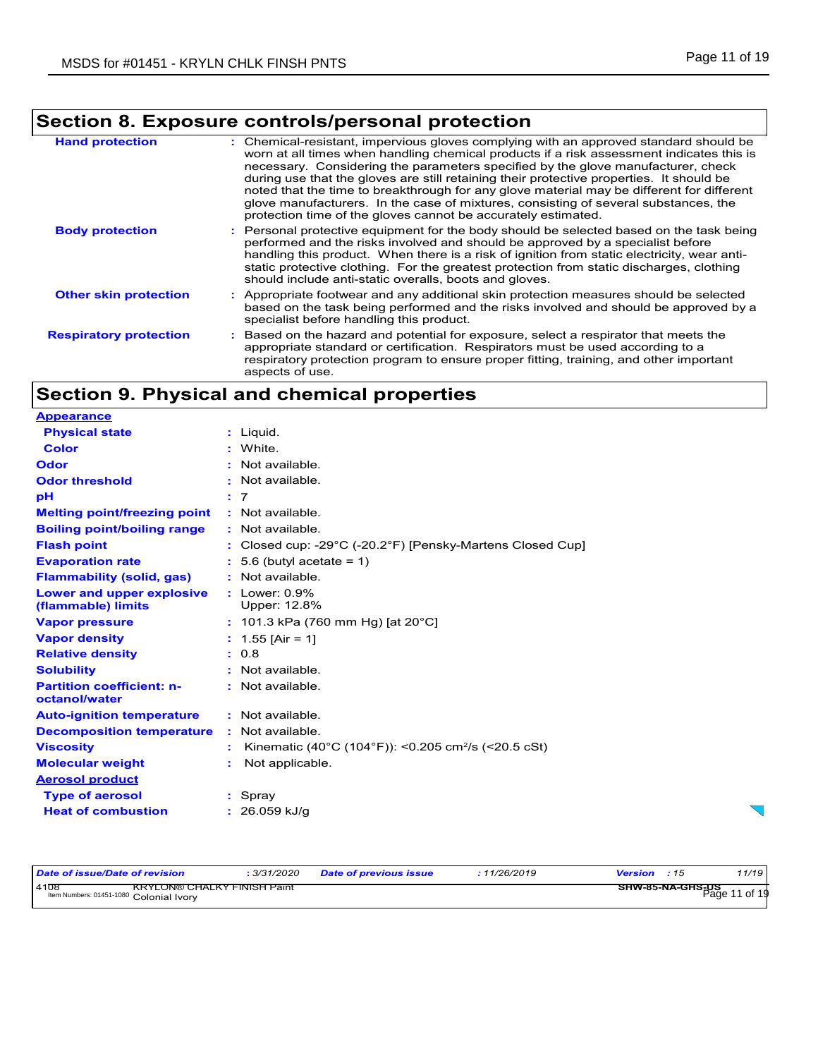## **Section 8. Exposure controls/personal protection**

| <b>Hand protection</b>        | : Chemical-resistant, impervious gloves complying with an approved standard should be<br>worn at all times when handling chemical products if a risk assessment indicates this is<br>necessary. Considering the parameters specified by the glove manufacturer, check<br>during use that the gloves are still retaining their protective properties. It should be<br>noted that the time to breakthrough for any glove material may be different for different<br>glove manufacturers. In the case of mixtures, consisting of several substances, the<br>protection time of the gloves cannot be accurately estimated. |  |
|-------------------------------|------------------------------------------------------------------------------------------------------------------------------------------------------------------------------------------------------------------------------------------------------------------------------------------------------------------------------------------------------------------------------------------------------------------------------------------------------------------------------------------------------------------------------------------------------------------------------------------------------------------------|--|
| <b>Body protection</b>        | : Personal protective equipment for the body should be selected based on the task being<br>performed and the risks involved and should be approved by a specialist before<br>handling this product. When there is a risk of ignition from static electricity, wear anti-<br>static protective clothing. For the greatest protection from static discharges, clothing<br>should include anti-static overalls, boots and gloves.                                                                                                                                                                                         |  |
| <b>Other skin protection</b>  | : Appropriate footwear and any additional skin protection measures should be selected<br>based on the task being performed and the risks involved and should be approved by a<br>specialist before handling this product.                                                                                                                                                                                                                                                                                                                                                                                              |  |
| <b>Respiratory protection</b> | : Based on the hazard and potential for exposure, select a respirator that meets the<br>appropriate standard or certification. Respirators must be used according to a<br>respiratory protection program to ensure proper fitting, training, and other important<br>aspects of use.                                                                                                                                                                                                                                                                                                                                    |  |

## **Section 9. Physical and chemical properties**

| <b>Appearance</b>                                 |    |                                                                                 |
|---------------------------------------------------|----|---------------------------------------------------------------------------------|
| <b>Physical state</b>                             |    | : Liguid.                                                                       |
| <b>Color</b>                                      |    | : White.                                                                        |
| Odor                                              |    | : Not available.                                                                |
| <b>Odor threshold</b>                             |    | : Not available.                                                                |
| рH                                                |    | : 7                                                                             |
| <b>Melting point/freezing point</b>               |    | : Not available.                                                                |
| <b>Boiling point/boiling range</b>                |    | : Not available.                                                                |
| <b>Flash point</b>                                |    | : Closed cup: -29 $^{\circ}$ C (-20.2 $^{\circ}$ F) [Pensky-Martens Closed Cup] |
| <b>Evaporation rate</b>                           |    | $: 5.6$ (butyl acetate = 1)                                                     |
| <b>Flammability (solid, gas)</b>                  |    | : Not available.                                                                |
| Lower and upper explosive<br>(flammable) limits   |    | $:$ Lower: $0.9\%$<br>Upper: 12.8%                                              |
| <b>Vapor pressure</b>                             |    | : 101.3 kPa (760 mm Hg) [at 20 $^{\circ}$ C]                                    |
| <b>Vapor density</b>                              |    | : $1.55$ [Air = 1]                                                              |
| <b>Relative density</b>                           |    | : 0.8                                                                           |
| <b>Solubility</b>                                 |    | : Not available.                                                                |
| <b>Partition coefficient: n-</b><br>octanol/water |    | : Not available.                                                                |
| <b>Auto-ignition temperature</b>                  |    | : Not available.                                                                |
| <b>Decomposition temperature</b>                  |    | : Not available.                                                                |
| <b>Viscosity</b>                                  |    | Kinematic (40°C (104°F)): <0.205 cm <sup>2</sup> /s (<20.5 cSt)                 |
| <b>Molecular weight</b>                           | ÷. | Not applicable.                                                                 |
| <b>Aerosol product</b>                            |    |                                                                                 |
| <b>Type of aerosol</b>                            |    | : Spray                                                                         |
| <b>Heat of combustion</b>                         |    | $: 26.059$ kJ/g                                                                 |

| Date of issue/Date of revision                                                 | 3/31/2020 | <b>Date of previous issue</b> | 11/26/2019 | <b>Version</b> : 15                      | 11/19 |
|--------------------------------------------------------------------------------|-----------|-------------------------------|------------|------------------------------------------|-------|
| 4108<br>KRYLON® CHALKY FINISH Paint<br>Item Numbers: 01451-1080 Colonial Ivory |           |                               |            | <b>SHW-85-NA-GHS-DS</b><br>Page 11 of 19 |       |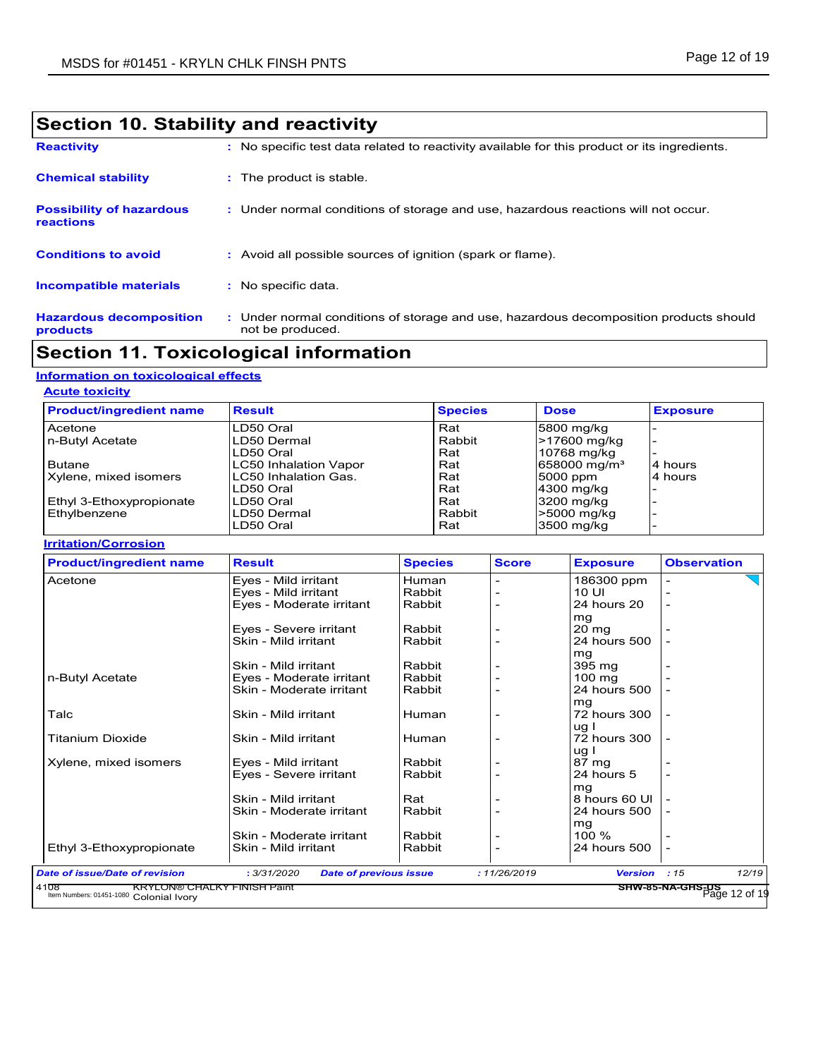| Section 10. Stability and reactivity                |                                                                                                           |  |  |
|-----------------------------------------------------|-----------------------------------------------------------------------------------------------------------|--|--|
| <b>Reactivity</b>                                   | : No specific test data related to reactivity available for this product or its ingredients.              |  |  |
| <b>Chemical stability</b>                           | : The product is stable.                                                                                  |  |  |
| <b>Possibility of hazardous</b><br><b>reactions</b> | : Under normal conditions of storage and use, hazardous reactions will not occur.                         |  |  |
| <b>Conditions to avoid</b>                          | : Avoid all possible sources of ignition (spark or flame).                                                |  |  |
| <b>Incompatible materials</b>                       | : No specific data.                                                                                       |  |  |
| <b>Hazardous decomposition</b><br>products          | : Under normal conditions of storage and use, hazardous decomposition products should<br>not be produced. |  |  |

## **Section 11. Toxicological information**

## **Information on toxicological effects**

| <b>Acute toxicity</b> |
|-----------------------|
|                       |

| <b>Product/ingredient name</b> | <b>Result</b>                | <b>Species</b> | <b>Dose</b>              | <b>Exposure</b> |
|--------------------------------|------------------------------|----------------|--------------------------|-----------------|
| Acetone                        | LD50 Oral                    | Rat            | 5800 mg/kg               |                 |
| n-Butyl Acetate                | LD50 Dermal                  | Rabbit         | <b>&gt;17600 mg/kg</b>   |                 |
|                                | LD50 Oral                    | Rat            | 10768 mg/kg              |                 |
| <b>Butane</b>                  | LC50 Inhalation Vapor        | Rat            | 658000 mg/m <sup>3</sup> | 14 hours        |
| Xylene, mixed isomers          | <b>ILC50 Inhalation Gas.</b> | Rat            | 5000 ppm                 | 4 hours         |
|                                | LD50 Oral                    | Rat            | 4300 mg/kg               |                 |
| Ethyl 3-Ethoxypropionate       | LD50 Oral                    | Rat            | 3200 mg/kg               |                 |
| Ethylbenzene                   | LD50 Dermal                  | Rabbit         | >5000 mg/kg              |                 |
|                                | LD50 Oral                    | Rat            | 3500 mg/kg               |                 |

### **Irritation/Corrosion**

| <b>Product/ingredient name</b> | <b>Result</b>                                | <b>Species</b> | <b>Score</b> | <b>Exposure</b>   | <b>Observation</b>                       |       |
|--------------------------------|----------------------------------------------|----------------|--------------|-------------------|------------------------------------------|-------|
| Acetone                        | Eyes - Mild irritant                         | Human          |              | 186300 ppm        |                                          |       |
|                                | Eyes - Mild irritant                         | Rabbit         |              | 10 UI             |                                          |       |
|                                | Eyes - Moderate irritant                     | Rabbit         |              | 24 hours 20       |                                          |       |
|                                |                                              |                |              | mg                |                                          |       |
|                                | Eyes - Severe irritant                       | Rabbit         |              | $20 \, \text{mg}$ |                                          |       |
|                                | Skin - Mild irritant                         | Rabbit         |              | 24 hours 500      |                                          |       |
|                                |                                              |                |              | mg                |                                          |       |
|                                | Skin - Mild irritant                         | Rabbit         |              | 395 mg            |                                          |       |
| n-Butyl Acetate                | Eyes - Moderate irritant                     | Rabbit         |              | $100 \text{ mg}$  |                                          |       |
|                                | Skin - Moderate irritant                     | Rabbit         |              | 24 hours 500      |                                          |       |
|                                |                                              |                |              | mg                |                                          |       |
| Talc                           | Skin - Mild irritant                         | Human          |              | 72 hours 300      |                                          |       |
|                                |                                              |                |              | ug I              |                                          |       |
| Titanium Dioxide               | Skin - Mild irritant                         | Human          |              | 72 hours 300      |                                          |       |
|                                |                                              |                |              | ug I              |                                          |       |
| Xylene, mixed isomers          | Eyes - Mild irritant                         | Rabbit         |              | 87 mg             |                                          |       |
|                                | Eyes - Severe irritant                       | Rabbit         |              | 24 hours 5        |                                          |       |
|                                |                                              |                |              | mg                |                                          |       |
|                                | Skin - Mild irritant                         | Rat            |              | 8 hours 60 UI     |                                          |       |
|                                | Skin - Moderate irritant                     | Rabbit         |              | 24 hours 500      |                                          |       |
|                                |                                              |                |              | mg                |                                          |       |
|                                | Skin - Moderate irritant                     | Rabbit         |              | 100 %             |                                          |       |
| Ethyl 3-Ethoxypropionate       | Skin - Mild irritant                         | Rabbit         |              | 24 hours 500      |                                          |       |
|                                |                                              |                |              |                   |                                          |       |
| Date of issue/Date of revision | : 3/31/2020<br><b>Date of previous issue</b> |                | : 11/26/2019 | <b>Version</b>    | :15<br>SHW-85-NA-GHS-US<br>Page 12 of 19 | 12/19 |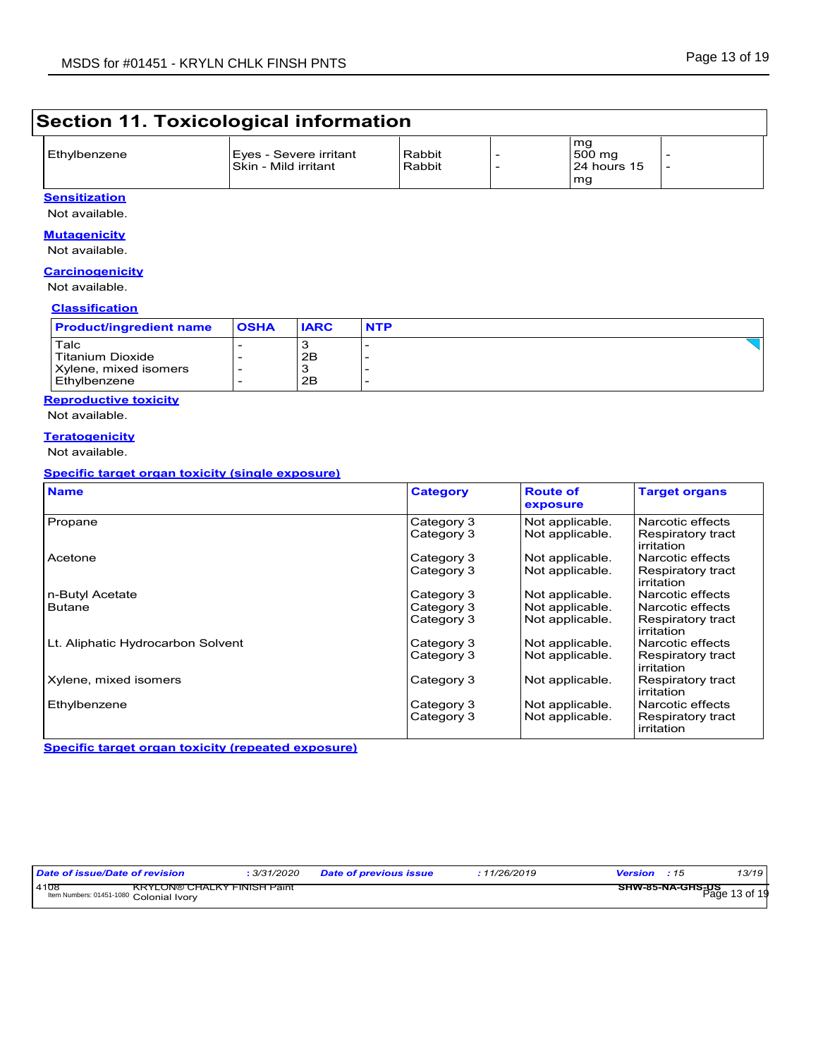## **Section 11. Toxicological information**

| Ethylbenzene | Eyes - Severe irritant<br>ISkin - Mild irritant | Rabbit<br>Rabbit | mq<br>500 mg<br>24 hours 15 |  |
|--------------|-------------------------------------------------|------------------|-----------------------------|--|
|              |                                                 |                  | mg                          |  |

### **Sensitization** Not available.

### **Mutagenicity**

Not available.

#### **Carcinogenicity**

Not available.

### **Classification**

| Talc<br>Titanium Dioxide<br>2B | <b>Product/ingredient name</b> | <b>IARC</b><br><b>OSHA</b> | <b>NTP</b> |  |
|--------------------------------|--------------------------------|----------------------------|------------|--|
| Ethylbenzene<br>2B             | Xylene, mixed isomers          |                            |            |  |

### **Reproductive toxicity** Not available.

**Teratogenicity**

Not available.

### **Specific target organ toxicity (single exposure)**

| <b>Name</b>                       | <b>Category</b> | <b>Route of</b><br>exposure | <b>Target organs</b>            |
|-----------------------------------|-----------------|-----------------------------|---------------------------------|
| Propane                           | Category 3      | Not applicable.             | Narcotic effects                |
|                                   | Category 3      | Not applicable.             | Respiratory tract<br>irritation |
| Acetone                           | Category 3      | Not applicable.             | Narcotic effects                |
|                                   | Category 3      | Not applicable.             | Respiratory tract<br>irritation |
| n-Butyl Acetate                   | Category 3      | Not applicable.             | Narcotic effects                |
| <b>Butane</b>                     | Category 3      | Not applicable.             | Narcotic effects                |
|                                   | Category 3      | Not applicable.             | Respiratory tract<br>irritation |
| Lt. Aliphatic Hydrocarbon Solvent | Category 3      | Not applicable.             | Narcotic effects                |
|                                   | Category 3      | Not applicable.             | Respiratory tract<br>irritation |
| Xylene, mixed isomers             | Category 3      | Not applicable.             | Respiratory tract<br>irritation |
| Ethylbenzene                      | Category 3      | Not applicable.             | Narcotic effects                |
|                                   | Category 3      | Not applicable.             | Respiratory tract<br>irritation |

**Specific target organ toxicity (repeated exposure)**

| Date of issue/Date of revision                                                         | : 3/31/2020 | <b>Date of previous issue</b> | : 11/26/2019 | <b>Version</b> : 15                  | 13/19 |
|----------------------------------------------------------------------------------------|-------------|-------------------------------|--------------|--------------------------------------|-------|
| 14108<br><b>KRYLON® CHALKY FINISH Paint</b><br>Item Numbers: 01451-1080 Colonial Ivorv |             |                               |              | —— SHW-85-NA-GHS-DS<br>Раде 13 of 19 |       |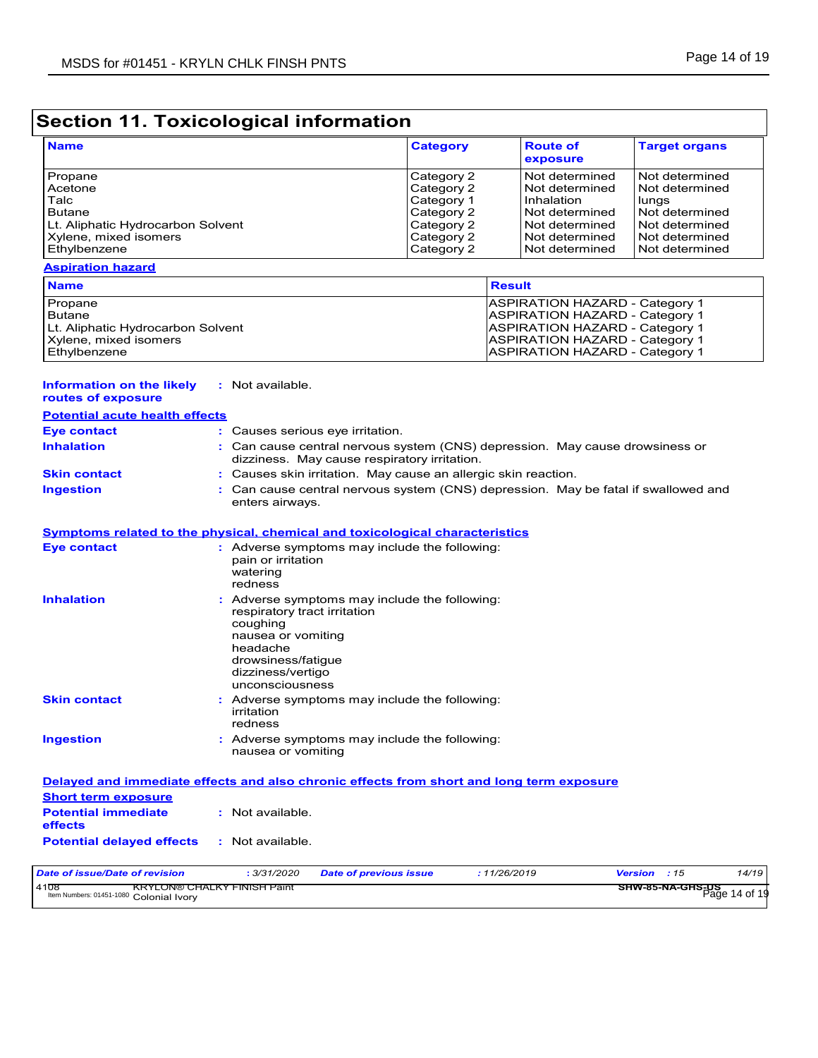**Information on the likely :** Not available.

# **Section 11. Toxicological information**

| <b>Name</b>                       | <b>Category</b> | <b>Route of</b><br>exposure | <b>Target organs</b> |
|-----------------------------------|-----------------|-----------------------------|----------------------|
| Propane                           | Category 2      | Not determined              | Not determined       |
| <b>Acetone</b>                    | Category 2      | I Not determined            | Not determined       |
| Talc                              | Category 1      | Inhalation                  | lungs                |
| <b>Butane</b>                     | Category 2      | Not determined              | Not determined       |
| Lt. Aliphatic Hydrocarbon Solvent | Category 2      | Not determined              | Not determined       |
| Xylene, mixed isomers             | Category 2      | Not determined              | Not determined       |
| Ethylbenzene                      | Category 2      | Not determined              | Not determined       |

### **Aspiration hazard**

| <b>Name</b>                       | <b>Result</b>                         |
|-----------------------------------|---------------------------------------|
| Propane                           | <b>ASPIRATION HAZARD - Category 1</b> |
| Butane                            | <b>ASPIRATION HAZARD - Category 1</b> |
| Lt. Aliphatic Hydrocarbon Solvent | <b>ASPIRATION HAZARD - Category 1</b> |
| Xylene, mixed isomers             | <b>ASPIRATION HAZARD - Category 1</b> |
| Ethylbenzene                      | <b>ASPIRATION HAZARD - Category 1</b> |

| routes of exposure                                                             |                                                                                                                                                                                         |
|--------------------------------------------------------------------------------|-----------------------------------------------------------------------------------------------------------------------------------------------------------------------------------------|
| <b>Potential acute health effects</b>                                          |                                                                                                                                                                                         |
| <b>Eye contact</b>                                                             | : Causes serious eye irritation.                                                                                                                                                        |
| <b>Inhalation</b>                                                              | : Can cause central nervous system (CNS) depression. May cause drowsiness or<br>dizziness. May cause respiratory irritation.                                                            |
| <b>Skin contact</b>                                                            | Causes skin irritation. May cause an allergic skin reaction.                                                                                                                            |
| <b>Ingestion</b>                                                               | Can cause central nervous system (CNS) depression. May be fatal if swallowed and<br>enters airways.                                                                                     |
|                                                                                | Symptoms related to the physical, chemical and toxicological characteristics                                                                                                            |
| <b>Eye contact</b>                                                             | : Adverse symptoms may include the following:<br>pain or irritation<br>watering<br>redness                                                                                              |
| <b>Inhalation</b>                                                              | Adverse symptoms may include the following:<br>respiratory tract irritation<br>coughing<br>nausea or vomiting<br>headache<br>drowsiness/fatigue<br>dizziness/vertigo<br>unconsciousness |
| <b>Skin contact</b>                                                            | Adverse symptoms may include the following:<br>irritation<br>redness                                                                                                                    |
| <b>Ingestion</b>                                                               | : Adverse symptoms may include the following:<br>nausea or vomiting                                                                                                                     |
|                                                                                | Delayed and immediate effects and also chronic effects from short and long term exposure                                                                                                |
| <b>Short term exposure</b>                                                     |                                                                                                                                                                                         |
| <b>Potential immediate</b><br>effects                                          | : Not available.                                                                                                                                                                        |
| <b>Potential delayed effects</b>                                               | : Not available.                                                                                                                                                                        |
| <b>Date of issue/Date of revision</b>                                          | 14/19<br>: 3/31/2020<br>: 11/26/2019<br><b>Version</b><br><b>Date of previous issue</b><br>: 15                                                                                         |
| 4108<br>KRYLON® CHALKY FINISH Paint<br>Item Numbers: 01451-1080 Colonial Ivory | SHW-85-NA-GHS-US<br>SHW-85-NA-GHS-US-14 of 19                                                                                                                                           |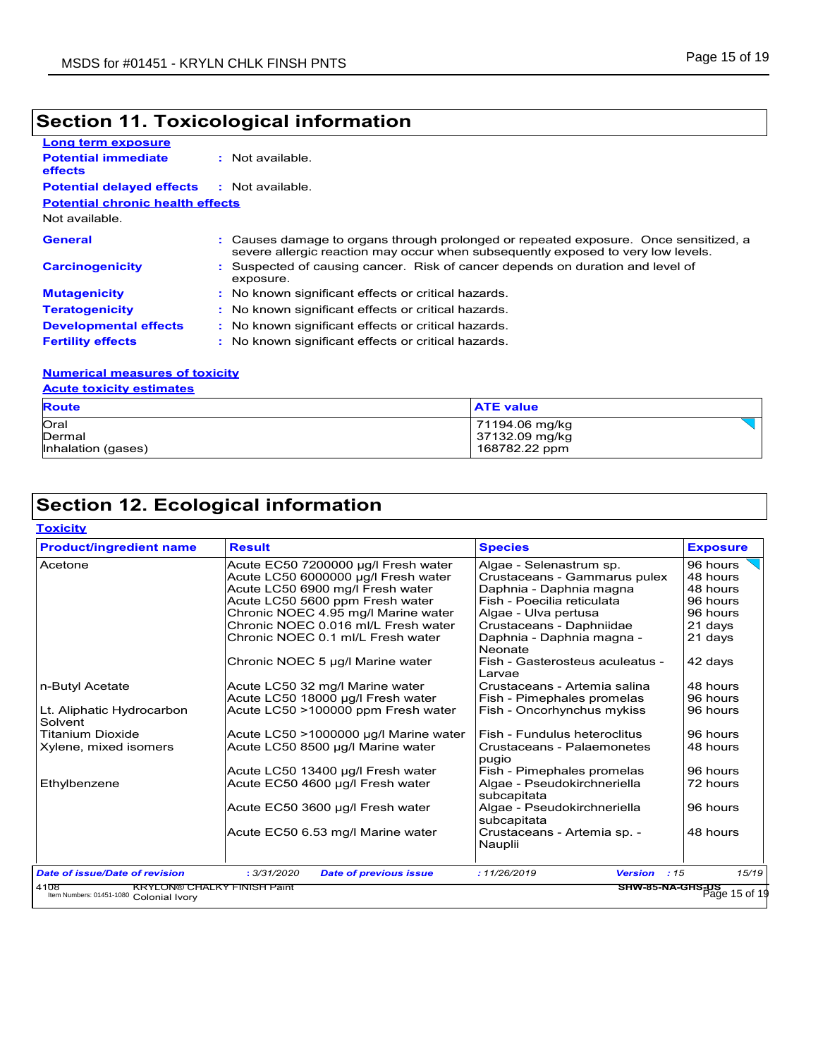# **Section 11. Toxicological information**

| Long term exposure                      |                                                                                                                                                                        |
|-----------------------------------------|------------------------------------------------------------------------------------------------------------------------------------------------------------------------|
| <b>Potential immediate</b><br>effects   | : Not available.                                                                                                                                                       |
| <b>Potential delayed effects</b>        | : Not available.                                                                                                                                                       |
| <b>Potential chronic health effects</b> |                                                                                                                                                                        |
| Not available.                          |                                                                                                                                                                        |
| General                                 | Causes damage to organs through prolonged or repeated exposure. Once sensitized, a<br>severe allergic reaction may occur when subsequently exposed to very low levels. |
| <b>Carcinogenicity</b>                  | : Suspected of causing cancer. Risk of cancer depends on duration and level of<br>exposure.                                                                            |
| <b>Mutagenicity</b>                     | : No known significant effects or critical hazards.                                                                                                                    |
| <b>Teratogenicity</b>                   | : No known significant effects or critical hazards.                                                                                                                    |
| <b>Developmental effects</b>            | : No known significant effects or critical hazards.                                                                                                                    |
| <b>Fertility effects</b>                | : No known significant effects or critical hazards.                                                                                                                    |

### **Numerical measures of toxicity**

### **Acute toxicity estimates**

| <b>Route</b>       | <b>ATE value</b> |
|--------------------|------------------|
| Oral               | 71194.06 mg/kg   |
| Dermal             | 37132.09 mg/kg   |
| Inhalation (gases) | 168782.22 ppm    |

## **Section 12. Ecological information**

| <b>Toxicity</b> |  |
|-----------------|--|
|                 |  |

| <b>Product/ingredient name</b>        | <b>Result</b>                                | <b>Species</b>                             | <b>Exposure</b>                            |
|---------------------------------------|----------------------------------------------|--------------------------------------------|--------------------------------------------|
| Acetone                               | Acute EC50 7200000 µg/l Fresh water          | Algae - Selenastrum sp.                    | 96 hours                                   |
|                                       | Acute LC50 6000000 µg/l Fresh water          | Crustaceans - Gammarus pulex               | 48 hours                                   |
|                                       | Acute LC50 6900 mg/l Fresh water             | Daphnia - Daphnia magna                    | 48 hours                                   |
|                                       | Acute LC50 5600 ppm Fresh water              | Fish - Poecilia reticulata                 | 96 hours                                   |
|                                       | Chronic NOEC 4.95 mg/l Marine water          | Algae - Ulva pertusa                       | 96 hours                                   |
|                                       | Chronic NOEC 0.016 ml/L Fresh water          | Crustaceans - Daphniidae                   | 21 days                                    |
|                                       | Chronic NOEC 0.1 ml/L Fresh water            | Daphnia - Daphnia magna -<br>Neonate       | 21 days                                    |
|                                       | Chronic NOEC 5 µg/l Marine water             | Fish - Gasterosteus aculeatus -<br>Larvae  | 42 days                                    |
| n-Butyl Acetate                       | Acute LC50 32 mg/l Marine water              | Crustaceans - Artemia salina               | 48 hours                                   |
|                                       | Acute LC50 18000 µg/l Fresh water            | Fish - Pimephales promelas                 | 96 hours                                   |
| Lt. Aliphatic Hydrocarbon<br>Solvent  | Acute LC50 >100000 ppm Fresh water           | Fish - Oncorhynchus mykiss                 | 96 hours                                   |
| <b>Titanium Dioxide</b>               | Acute LC50 >1000000 µg/l Marine water        | Fish - Fundulus heteroclitus               | 96 hours                                   |
| Xylene, mixed isomers                 | Acute LC50 8500 µg/l Marine water            | Crustaceans - Palaemonetes<br>pugio        | 48 hours                                   |
|                                       | Acute LC50 13400 µg/l Fresh water            | Fish - Pimephales promelas                 | 96 hours                                   |
| Ethylbenzene                          | Acute EC50 4600 µg/l Fresh water             | Algae - Pseudokirchneriella<br>subcapitata | 72 hours                                   |
|                                       | Acute EC50 3600 µg/l Fresh water             | Algae - Pseudokirchneriella<br>subcapitata | 96 hours                                   |
|                                       | Acute EC50 6.53 mg/l Marine water            | Crustaceans - Artemia sp. -<br>Nauplii     | 48 hours                                   |
| <b>Date of issue/Date of revision</b> | : 3/31/2020<br><b>Date of previous issue</b> | :11/26/2019<br><b>Version</b><br>:15       | 15/19<br>SHW-85-NA-GHS-US<br>Page 15 of 19 |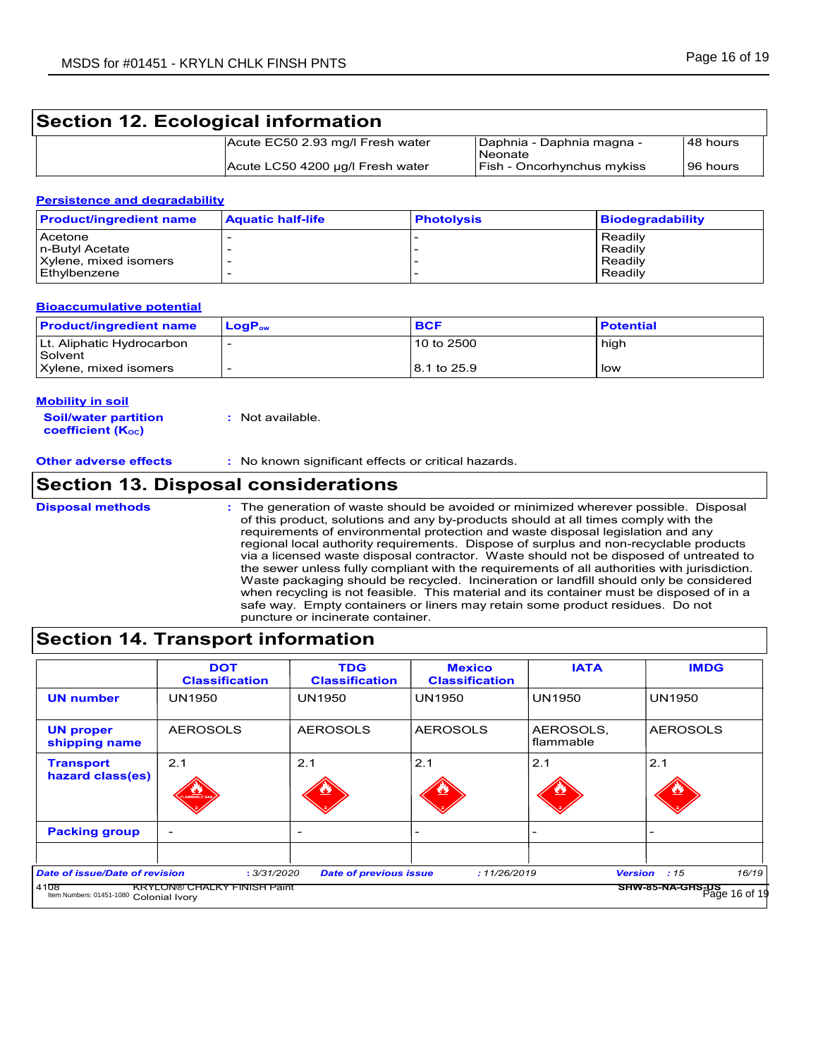## **Section 12. Ecological information**

| Acute EC50 2.93 mg/l Fresh water | Daphnia - Daphnia magna -<br>Neonate | 48 hours   |
|----------------------------------|--------------------------------------|------------|
| Acute LC50 4200 µg/l Fresh water | Fish - Oncorhynchus mykiss           | l 96 hours |

### **Persistence and degradability**

| <b>Product/ingredient name</b> | <b>Aquatic half-life</b> | <b>Photolysis</b> | <b>Biodegradability</b> |
|--------------------------------|--------------------------|-------------------|-------------------------|
| Acetone                        |                          |                   | Readily                 |
| In-Butyl Acetate               |                          |                   | Readily                 |
| Xylene, mixed isomers          |                          |                   | Readily                 |
| Ethylbenzene                   |                          |                   | Readily                 |

### **Bioaccumulative potential**

| <b>Product/ingredient name</b>       | <b>LoaP</b> <sub>ow</sub> | <b>BCF</b>    | <b>Potential</b> |
|--------------------------------------|---------------------------|---------------|------------------|
| Lt. Aliphatic Hydrocarbon<br>Solvent |                           | 10 to 2500    | high             |
| Xylene, mixed isomers                |                           | l 8.1 to 25.9 | low              |

#### **Mobility in soil**

**Soil/water partition coefficient (KOC) :** Not available.

**Other adverse effects :** No known significant effects or critical hazards.

### **Section 13. Disposal considerations**

The generation of waste should be avoided or minimized wherever possible. Disposal of this product, solutions and any by-products should at all times comply with the requirements of environmental protection and waste disposal legislation and any regional local authority requirements. Dispose of surplus and non-recyclable products via a licensed waste disposal contractor. Waste should not be disposed of untreated to the sewer unless fully compliant with the requirements of all authorities with jurisdiction. Waste packaging should be recycled. Incineration or landfill should only be considered when recycling is not feasible. This material and its container must be disposed of in a safe way. Empty containers or liners may retain some product residues. Do not puncture or incinerate container. **Disposal methods :**

## **Section 14. Transport information**

|                                                                                          | <b>DOT</b><br><b>Classification</b>               | <b>TDG</b><br><b>Classification</b> | <b>Mexico</b><br><b>Classification</b> | <b>IATA</b>            | <b>IMDG</b>                                                         |
|------------------------------------------------------------------------------------------|---------------------------------------------------|-------------------------------------|----------------------------------------|------------------------|---------------------------------------------------------------------|
| <b>UN number</b>                                                                         | <b>UN1950</b>                                     | <b>UN1950</b>                       | UN1950                                 | <b>UN1950</b>          | <b>UN1950</b>                                                       |
| <b>UN proper</b><br>shipping name                                                        | <b>AEROSOLS</b>                                   | <b>AEROSOLS</b>                     | <b>AEROSOLS</b>                        | AEROSOLS,<br>flammable | <b>AEROSOLS</b>                                                     |
| <b>Transport</b><br>hazard class(es)                                                     | 2.1<br><b><i><u><b>CHAMBER</b></u></i></b>        | 2.1                                 | 2.1                                    | 2.1                    | 2.1                                                                 |
| <b>Packing group</b>                                                                     | $\overline{\phantom{0}}$                          |                                     |                                        |                        |                                                                     |
| <b>Date of issue/Date of revision</b><br>4108<br>Item Numbers: 01451-1080 Colonial Ivory | : 3/31/2020<br><b>KRYLON® CHALKY FINISH Paint</b> | <b>Date of previous issue</b>       | : 11/26/2019                           |                        | 16/19<br><b>Version</b><br>:15<br>SHW-85-NA-GHS-US<br>Page 16 of 19 |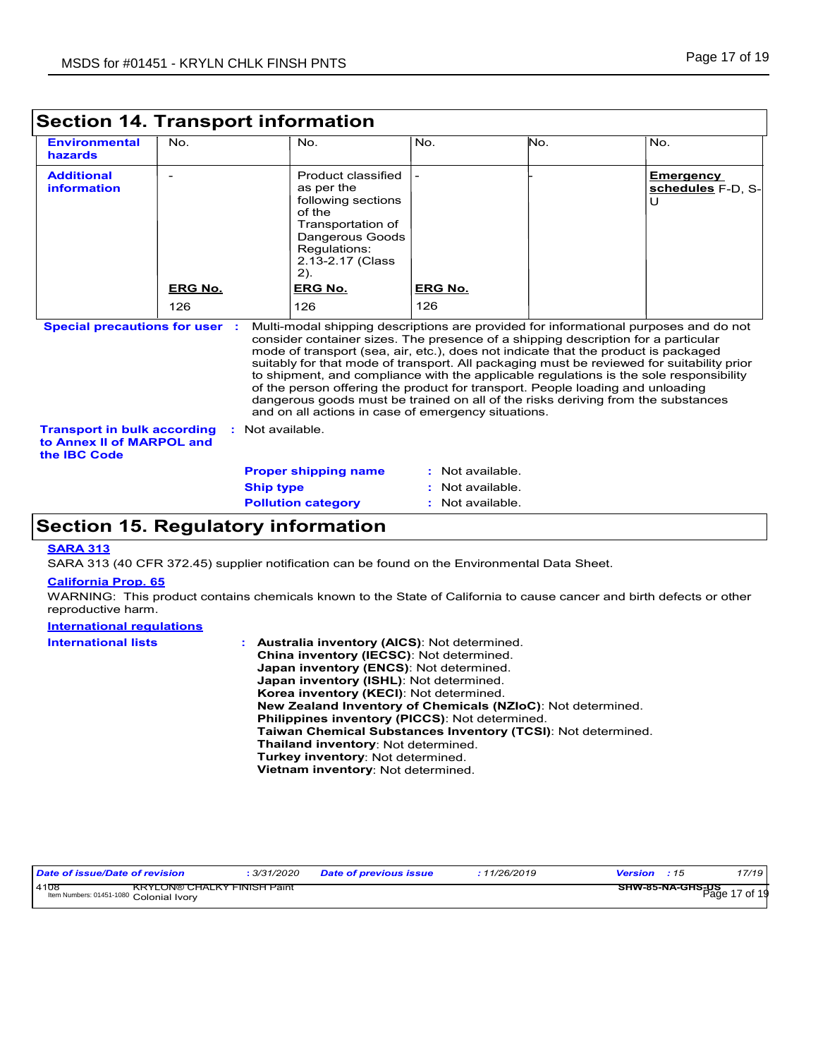| <b>Environmental</b><br>hazards                                                        | No.                   |                  | No.                                                                                                                                                                          | No.                   | No. | No.                                                                                                                                                                                                                                                                                                           |
|----------------------------------------------------------------------------------------|-----------------------|------------------|------------------------------------------------------------------------------------------------------------------------------------------------------------------------------|-----------------------|-----|---------------------------------------------------------------------------------------------------------------------------------------------------------------------------------------------------------------------------------------------------------------------------------------------------------------|
| <b>Additional</b><br>information<br><b>Special precautions for user:</b>               | <b>ERG No.</b><br>126 |                  | Product classified<br>as per the<br>following sections<br>of the<br>Transportation of<br>Dangerous Goods<br>Regulations:<br>2.13-2.17 (Class<br>2).<br><b>ERG No.</b><br>126 | <b>ERG No.</b><br>126 |     | <b>Emergency</b><br>schedules F-D, S-<br>U<br>Multi-modal shipping descriptions are provided for informational purposes and do not<br>consider container sizes. The presence of a shipping description for a particular<br>mode of transport (sea, air, etc.), does not indicate that the product is packaged |
|                                                                                        |                       |                  | of the person offering the product for transport. People loading and unloading<br>and on all actions in case of emergency situations.                                        |                       |     | suitably for that mode of transport. All packaging must be reviewed for suitability prior<br>to shipment, and compliance with the applicable regulations is the sole responsibility<br>dangerous goods must be trained on all of the risks deriving from the substances                                       |
| <b>Transport in bulk according</b><br>to Annex II of MARPOL and<br>the <b>IBC</b> Code |                       | : Not available. |                                                                                                                                                                              |                       |     |                                                                                                                                                                                                                                                                                                               |
|                                                                                        |                       |                  | <b>Proper shipping name</b>                                                                                                                                                  | : Not available.      |     |                                                                                                                                                                                                                                                                                                               |
|                                                                                        |                       |                  |                                                                                                                                                                              |                       |     |                                                                                                                                                                                                                                                                                                               |
|                                                                                        |                       | <b>Ship type</b> |                                                                                                                                                                              | Not available.        |     |                                                                                                                                                                                                                                                                                                               |

### **Section 15. Regulatory information**

### **SARA 313**

SARA 313 (40 CFR 372.45) supplier notification can be found on the Environmental Data Sheet.

### **California Prop. 65**

WARNING: This product contains chemicals known to the State of California to cause cancer and birth defects or other reproductive harm.

| <b>International regulations</b> |                                                                                                                                                                                                                                                                                                                                                                                                                                                                                                                                             |
|----------------------------------|---------------------------------------------------------------------------------------------------------------------------------------------------------------------------------------------------------------------------------------------------------------------------------------------------------------------------------------------------------------------------------------------------------------------------------------------------------------------------------------------------------------------------------------------|
| <b>International lists</b>       | : Australia inventory (AICS): Not determined.<br>China inventory (IECSC): Not determined.<br>Japan inventory (ENCS): Not determined.<br>Japan inventory (ISHL): Not determined.<br>Korea inventory (KECI): Not determined.<br>New Zealand Inventory of Chemicals (NZIoC): Not determined.<br><b>Philippines inventory (PICCS): Not determined.</b><br><b>Taiwan Chemical Substances Inventory (TCSI): Not determined.</b><br>Thailand inventory: Not determined.<br>Turkey inventory: Not determined.<br>Vietnam inventory: Not determined. |
|                                  |                                                                                                                                                                                                                                                                                                                                                                                                                                                                                                                                             |

| Date of issue/Date of revision                                                        | 3/31/2020 | <b>Date of previous issue</b> | 11/26/2019 | Version<br>.15   | 17/19            |
|---------------------------------------------------------------------------------------|-----------|-------------------------------|------------|------------------|------------------|
| 4108<br><b>KRYLON® CHALKY FINISH Paint</b><br>Item Numbers: 01451-1080 Colonial Ivory |           |                               |            | SHW-85-NA-GHS-US | 17 of 19<br>Page |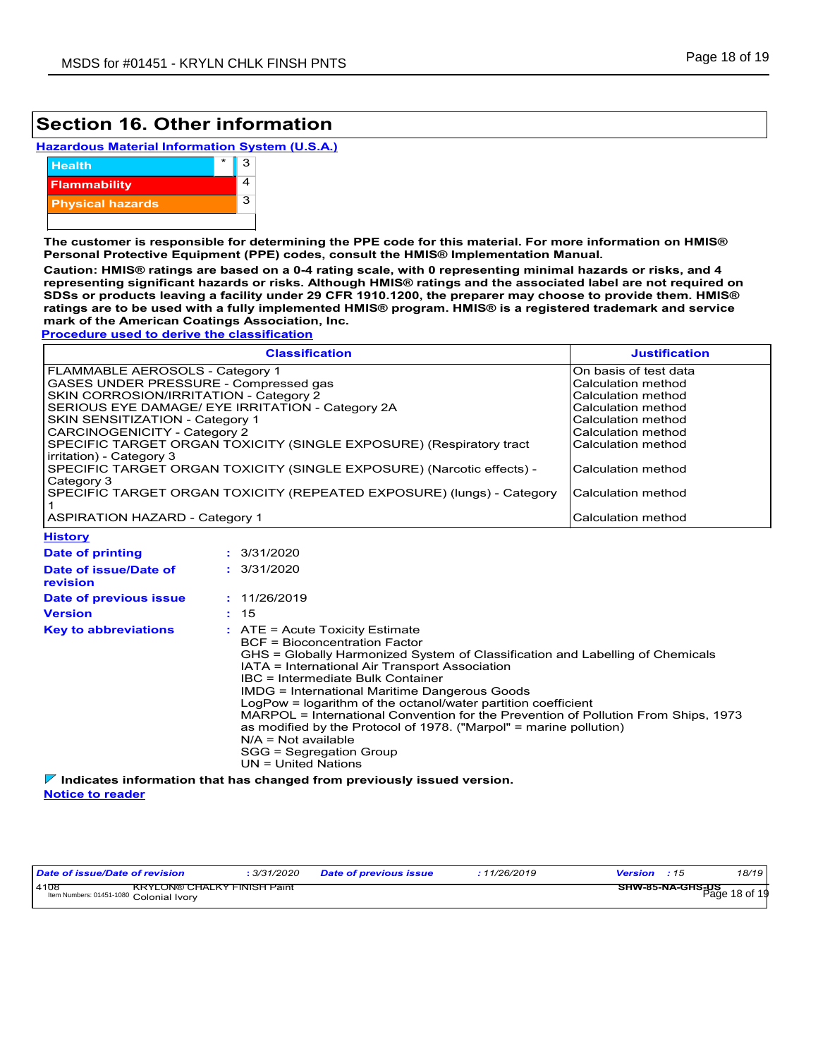## **Section 16. Other information**

|  |  |  | <b>Hazardous Material Information System (U.S.A.)</b> |  |  |  |
|--|--|--|-------------------------------------------------------|--|--|--|
|--|--|--|-------------------------------------------------------|--|--|--|



**The customer is responsible for determining the PPE code for this material. For more information on HMIS® Personal Protective Equipment (PPE) codes, consult the HMIS® Implementation Manual.**

**Caution: HMIS® ratings are based on a 0-4 rating scale, with 0 representing minimal hazards or risks, and 4 representing significant hazards or risks. Although HMIS® ratings and the associated label are not required on SDSs or products leaving a facility under 29 CFR 1910.1200, the preparer may choose to provide them. HMIS® ratings are to be used with a fully implemented HMIS® program. HMIS® is a registered trademark and service mark of the American Coatings Association, Inc.**

**Procedure used to derive the classification**

| <b>Classification</b>                                                                           | <b>Justification</b>  |
|-------------------------------------------------------------------------------------------------|-----------------------|
| FLAMMABLE AEROSOLS - Category 1                                                                 | On basis of test data |
| GASES UNDER PRESSURE - Compressed gas                                                           | Calculation method    |
| SKIN CORROSION/IRRITATION - Category 2                                                          | Calculation method    |
| SERIOUS EYE DAMAGE/ EYE IRRITATION - Category 2A                                                | Calculation method    |
| <b>SKIN SENSITIZATION - Category 1</b>                                                          | Calculation method    |
| CARCINOGENICITY - Category 2                                                                    | Calculation method    |
| SPECIFIC TARGET ORGAN TOXICITY (SINGLE EXPOSURE) (Respiratory tract<br>irritation) - Category 3 | Calculation method    |
| SPECIFIC TARGET ORGAN TOXICITY (SINGLE EXPOSURE) (Narcotic effects) -<br>Category 3             | Calculation method    |
| SPECIFIC TARGET ORGAN TOXICITY (REPEATED EXPOSURE) (lungs) - Category                           | Calculation method    |
| <b>ASPIRATION HAZARD - Category 1</b>                                                           | Calculation method    |

3/31/2020 **: History Date of printing Date of issue/Date of revision Version Date of previous issue :** 15 **:** 3/31/2020 **:** 11/26/2019 **Key to abbreviations :** ATE = Acute Toxicity Estimate BCF = Bioconcentration Factor GHS = Globally Harmonized System of Classification and Labelling of Chemicals IATA = International Air Transport Association IBC = Intermediate Bulk Container IMDG = International Maritime Dangerous Goods LogPow = logarithm of the octanol/water partition coefficient MARPOL = International Convention for the Prevention of Pollution From Ships, 1973 as modified by the Protocol of 1978. ("Marpol" = marine pollution) N/A = Not available SGG = Segregation Group UN = United Nations

**Indicates information that has changed from previously issued version.**

| Date of issue/Date of revision                                                        | 3/31/2020 | <b>Date of previous issue</b> | : 11/26/2019                                | <b>Version</b> : 15 | 18/19 |
|---------------------------------------------------------------------------------------|-----------|-------------------------------|---------------------------------------------|---------------------|-------|
| 4108<br><b>KRYLON® CHALKY FINISH Paint</b><br>Item Numbers: 01451-1080 Colonial Ivory |           |                               | —— <b>SHW-85-NA-GHS-US</b><br>Page 18 of 19 |                     |       |

**Notice to reader**